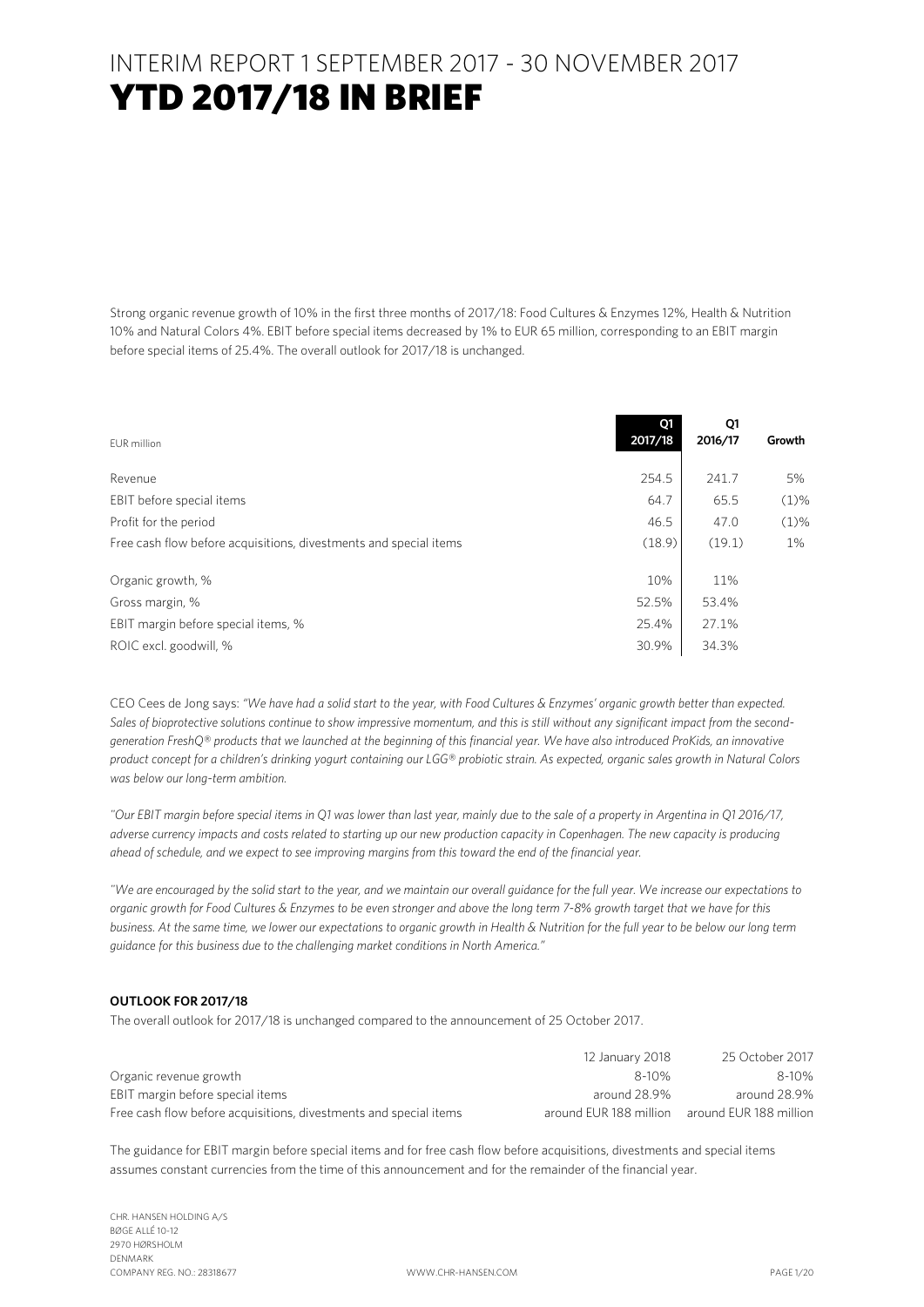### INTERIM REPORT 1 SEPTEMBER 2017 - 30 NOVEMBER 2017 YTD 2017/18 IN BRIEF

Strong organic revenue growth of 10% in the first three months of 2017/18: Food Cultures & Enzymes 12%, Health & Nutrition 10% and Natural Colors 4%. EBIT before special items decreased by 1% to EUR 65 million, corresponding to an EBIT margin before special items of 25.4%. The overall outlook for 2017/18 is unchanged.

| EUR million                                                       | 01<br>2017/18 | Q1<br>2016/17 | Growth  |
|-------------------------------------------------------------------|---------------|---------------|---------|
| Revenue                                                           | 254.5         | 241.7         | 5%      |
| EBIT before special items                                         | 64.7          | 65.5          | $(1)\%$ |
| Profit for the period                                             | 46.5          | 47.0          | $(1)\%$ |
| Free cash flow before acquisitions, divestments and special items | (18.9)        | (19.1)        | 1%      |
| Organic growth, %                                                 | 10%           | 11%           |         |
| Gross margin, %                                                   | 52.5%         | 53.4%         |         |
| EBIT margin before special items, %                               | 25.4%         | 27.1%         |         |
| ROIC excl. goodwill, %                                            | 30.9%         | 34.3%         |         |

CEO Cees de Jong says: *"We have had a solid start to the year, with Food Cultures & Enzymes' organic growth better than expected. Sales of bioprotective solutions continue to show impressive momentum, and this is still without any significant impact from the secondgeneration FreshQ® products that we launched at the beginning of this financial year. We have also introduced ProKids, an innovative product concept for a children's drinking yogurt containing our LGG® probiotic strain. As expected, organic sales growth in Natural Colors was below our long-term ambition.*

*"Our EBIT margin before special items in Q1 was lower than last year, mainly due to the sale of a property in Argentina in Q1 2016/17, adverse currency impacts and costs related to starting up our new production capacity in Copenhagen. The new capacity is producing ahead of schedule, and we expect to see improving margins from this toward the end of the financial year.*

*"We are encouraged by the solid start to the year, and we maintain our overall guidance for the full year. We increase our expectations to organic growth for Food Cultures & Enzymes to be even stronger and above the long term 7-8% growth target that we have for this business. At the same time, we lower our expectations to organic growth in Health & Nutrition for the full year to be below our long term guidance for this business due to the challenging market conditions in North America."*

#### **OUTLOOK FOR 2017/18**

The overall outlook for 2017/18 is unchanged compared to the announcement of 25 October 2017.

|                                                                   | 12 January 2018        | 25 October 2017        |
|-------------------------------------------------------------------|------------------------|------------------------|
| Organic revenue growth                                            | 8-10%                  | $8 - 10%$              |
| EBIT margin before special items                                  | around 28.9%           | around 28.9%           |
| Free cash flow before acquisitions, divestments and special items | around FUR 188 million | around FUR 188 million |

The guidance for EBIT margin before special items and for free cash flow before acquisitions, divestments and special items assumes constant currencies from the time of this announcement and for the remainder of the financial year.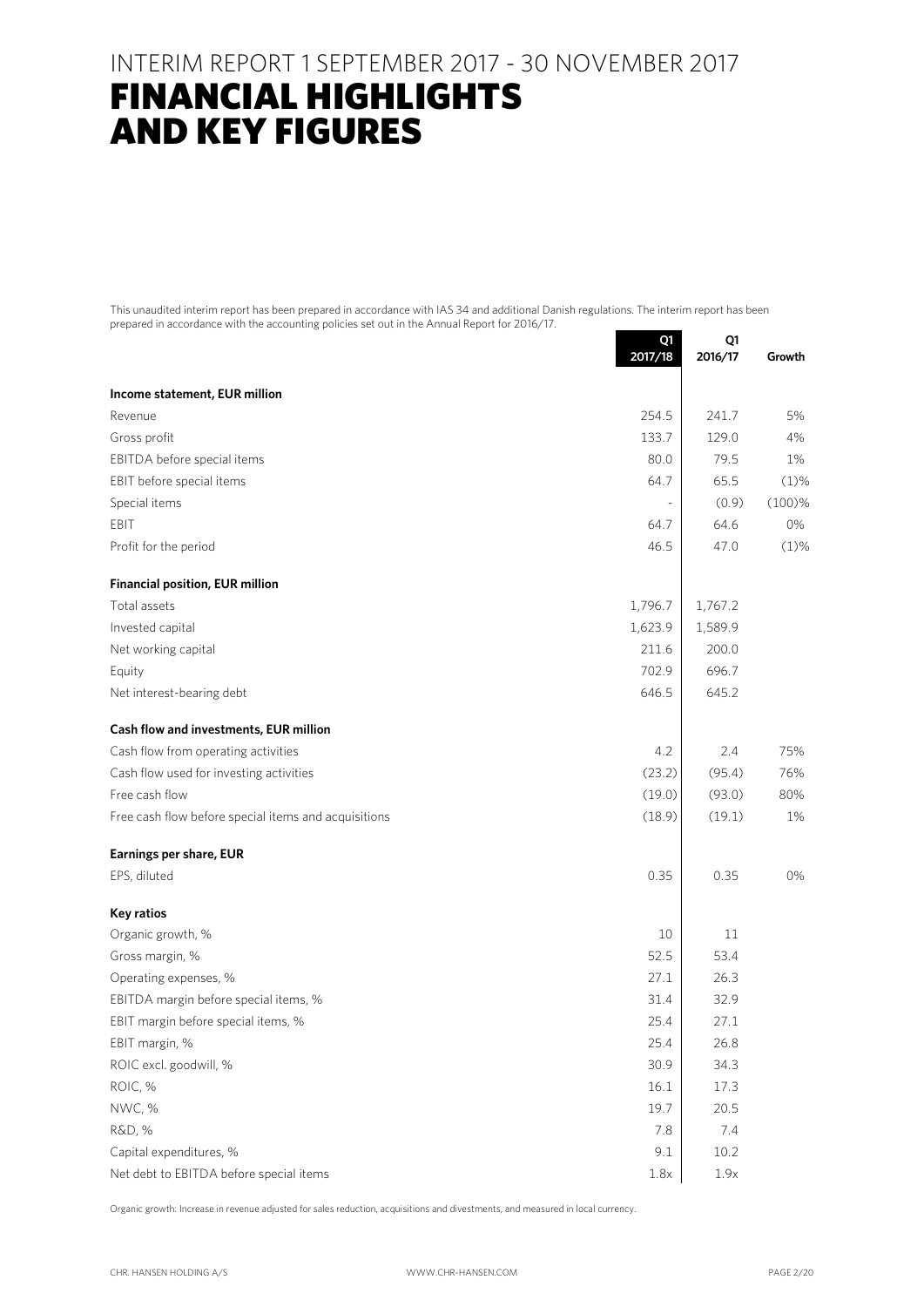### INTERIM REPORT 1 SEPTEMBER 2017 - 30 NOVEMBER 2017

## FINANCIAL HIGHLIGHTS AND KEY FIGURES

This unaudited interim report has been prepared in accordance with IAS 34 and additional Danish regulations. The interim report has been prepared in accordance with the accounting policies set out in the Annual Report for 2016/17.

|                                                      | Q1<br>2017/18 | Q1<br>2016/17 | Growth  |
|------------------------------------------------------|---------------|---------------|---------|
| Income statement, EUR million                        |               |               |         |
| Revenue                                              | 254.5         | 241.7         | 5%      |
| Gross profit                                         | 133.7         | 129.0         | 4%      |
| EBITDA before special items                          | 80.0          | 79.5          | 1%      |
| EBIT before special items                            | 64.7          | 65.5          | (1)%    |
| Special items                                        |               | (0.9)         | (100)%  |
| EBIT                                                 | 64.7          | 64.6          | 0%      |
| Profit for the period                                | 46.5          | 47.0          | $(1)$ % |
| <b>Financial position, EUR million</b>               |               |               |         |
| Total assets                                         | 1,796.7       | 1,767.2       |         |
| Invested capital                                     | 1,623.9       | 1,589.9       |         |
| Net working capital                                  | 211.6         | 200.0         |         |
| Equity                                               | 702.9         | 696.7         |         |
| Net interest-bearing debt                            | 646.5         | 645.2         |         |
| Cash flow and investments, EUR million               |               |               |         |
| Cash flow from operating activities                  | 4.2           | 2.4           | 75%     |
| Cash flow used for investing activities              | (23.2)        | (95.4)        | 76%     |
| Free cash flow                                       | (19.0)        | (93.0)        | 80%     |
| Free cash flow before special items and acquisitions | (18.9)        | (19.1)        | 1%      |
| Earnings per share, EUR                              |               |               |         |
| EPS, diluted                                         | 0.35          | 0.35          | 0%      |
| Key ratios                                           |               |               |         |
| Organic growth, %                                    | 10            | 11            |         |
| Gross margin, %                                      | 52.5          | 53.4          |         |
| Operating expenses, %                                | 27.1          | 26.3          |         |
| EBITDA margin before special items, %                | 31.4          | 32.9          |         |
| EBIT margin before special items, %                  | 25.4          | 27.1          |         |
| EBIT margin, %                                       | 25.4          | 26.8          |         |
| ROIC excl. goodwill, %                               | 30.9          | 34.3          |         |
| ROIC, %                                              | 16.1          | 17.3          |         |
| NWC, %                                               | 19.7          | 20.5          |         |
| R&D, %                                               | 7.8           | 7.4           |         |
| Capital expenditures, %                              | 9.1           | 10.2          |         |
| Net debt to EBITDA before special items              | 1.8x          | 1.9x          |         |

Organic growth: Increase in revenue adjusted for sales reduction, acquisitions and divestments, and measured in local currency.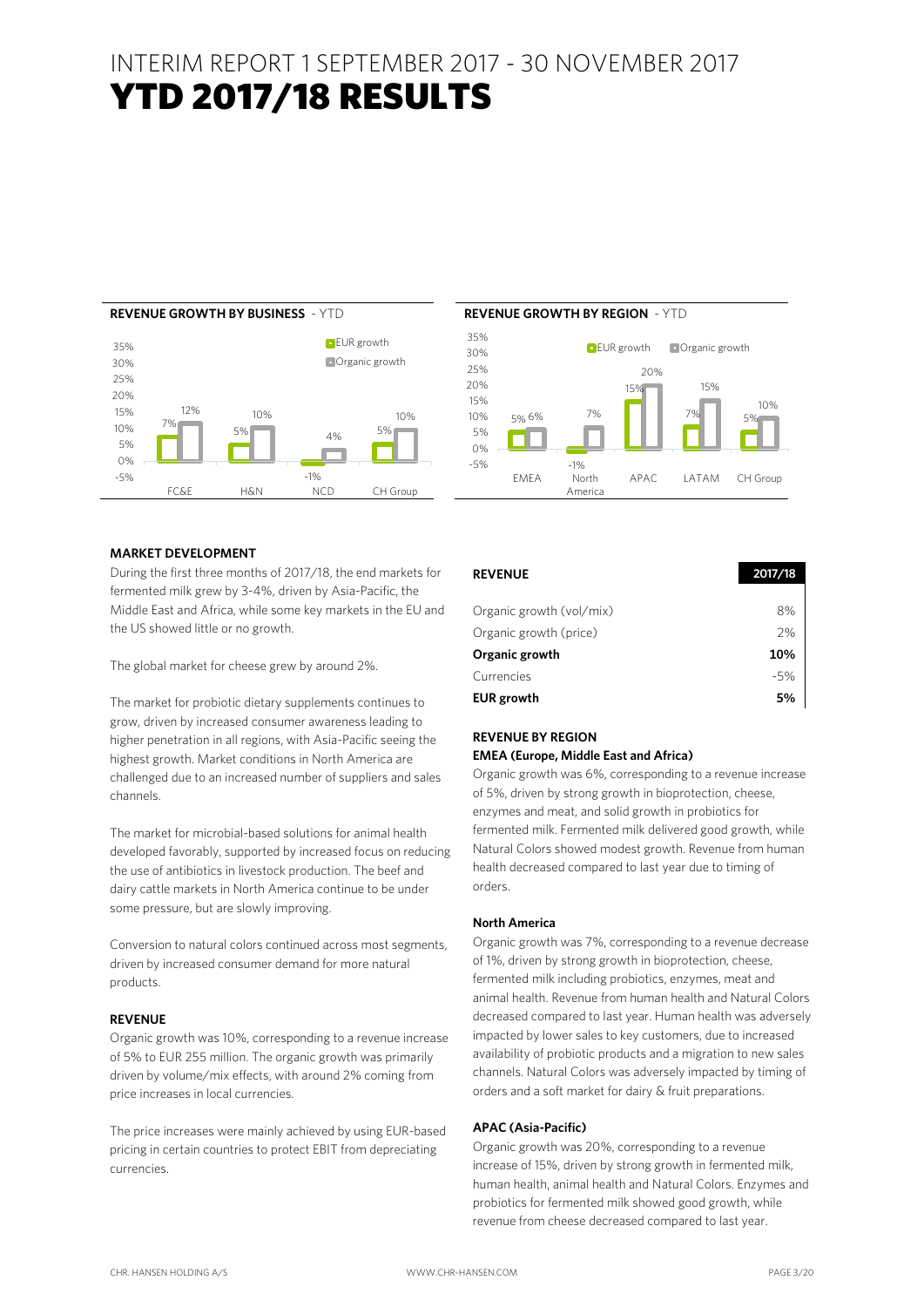## INTERIM REPORT 1 SEPTEMBER 2017 - 30 NOVEMBER 2017 YTD 2017/18 RESULTS 2017/18





#### **MARKET DEVELOPMENT**

During the first three months of 2017/18, the end markets for fermented milk grew by 3-4%, driven by Asia-Pacific, the Middle East and Africa, while some key markets in the EU and the US showed little or no growth.

The global market for cheese grew by around 2%.

The market for probiotic dietary supplements continues to grow, driven by increased consumer awareness leading to higher penetration in all regions, with Asia-Pacific seeing the highest growth. Market conditions in North America are challenged due to an increased number of suppliers and sales channels.

The market for microbial-based solutions for animal health developed favorably, supported by increased focus on reducing the use of antibiotics in livestock production. The beef and dairy cattle markets in North America continue to be under some pressure, but are slowly improving.

Conversion to natural colors continued across most segments, driven by increased consumer demand for more natural products.

#### **REVENUE**

Organic growth was 10%, corresponding to a revenue increase of 5% to EUR 255 million. The organic growth was primarily driven by volume/mix effects, with around 2% coming from price increases in local currencies.

The price increases were mainly achieved by using EUR-based pricing in certain countries to protect EBIT from depreciating currencies.

| <b>REVENUE</b>           | 2017/18 |
|--------------------------|---------|
|                          |         |
| Organic growth (vol/mix) | 8%      |
| Organic growth (price)   | 2%      |
| Organic growth           | 10%     |
| Currencies               | $-5%$   |
| <b>EUR</b> growth        | 5%      |

#### **REVENUE BY REGION EMEA (Europe, Middle East and Africa)**

Organic growth was 6%, corresponding to a revenue increase of 5%, driven by strong growth in bioprotection, cheese, enzymes and meat, and solid growth in probiotics for fermented milk. Fermented milk delivered good growth, while Natural Colors showed modest growth. Revenue from human health decreased compared to last year due to timing of orders.

#### **North America**

Organic growth was 7%, corresponding to a revenue decrease of 1%, driven by strong growth in bioprotection, cheese, fermented milk including probiotics, enzymes, meat and animal health. Revenue from human health and Natural Colors decreased compared to last year. Human health was adversely impacted by lower sales to key customers, due to increased availability of probiotic products and a migration to new sales channels. Natural Colors was adversely impacted by timing of orders and a soft market for dairy & fruit preparations.

#### **APAC (Asia-Pacific)**

Organic growth was 20%, corresponding to a revenue increase of 15%, driven by strong growth in fermented milk, human health, animal health and Natural Colors. Enzymes and probiotics for fermented milk showed good growth, while revenue from cheese decreased compared to last year.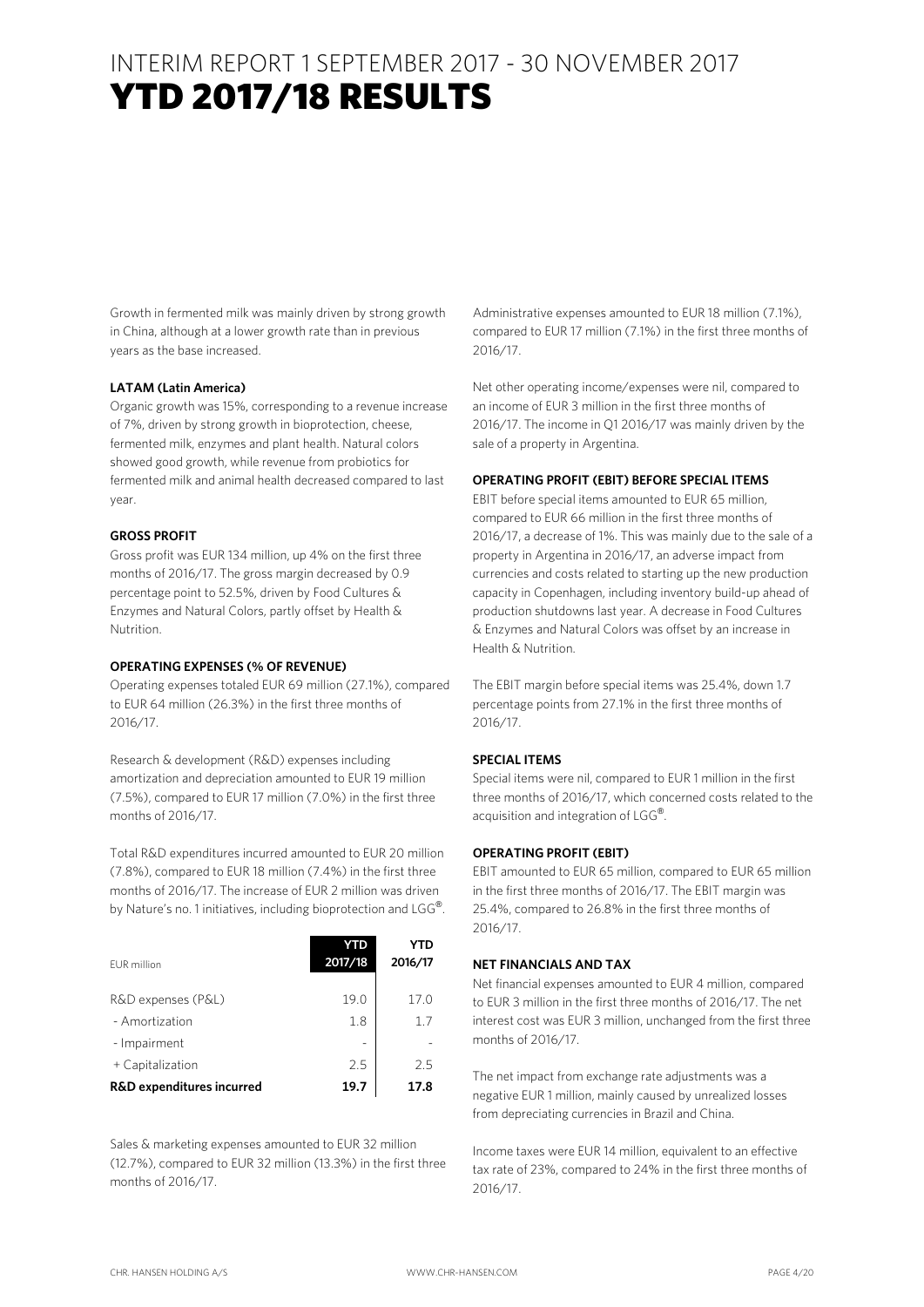## INTERIM REPORT 1 SEPTEMBER 2017 - 30 NOVEMBER 2017 YTD 2017/18 RESULTS 2017/18

Growth in fermented milk was mainly driven by strong growth in China, although at a lower growth rate than in previous years as the base increased.

#### **LATAM (Latin America)**

Organic growth was 15%, corresponding to a revenue increase of 7%, driven by strong growth in bioprotection, cheese, fermented milk, enzymes and plant health. Natural colors showed good growth, while revenue from probiotics for fermented milk and animal health decreased compared to last year.

#### **GROSS PROFIT**

Gross profit was EUR 134 million, up 4% on the first three months of 2016/17. The gross margin decreased by 0.9 percentage point to 52.5%, driven by Food Cultures & Enzymes and Natural Colors, partly offset by Health & Nutrition.

#### **OPERATING EXPENSES (% OF REVENUE)**

Operating expenses totaled EUR 69 million (27.1%), compared to EUR 64 million (26.3%) in the first three months of 2016/17.

Research & development (R&D) expenses including amortization and depreciation amounted to EUR 19 million (7.5%), compared to EUR 17 million (7.0%) in the first three months of 2016/17.

Total R&D expenditures incurred amounted to EUR 20 million (7.8%), compared to EUR 18 million (7.4%) in the first three months of 2016/17. The increase of EUR 2 million was driven by Nature's no. 1 initiatives, including bioprotection and LGG®.

| EUR million               | YTD<br>2017/18 | 2016/17 |
|---------------------------|----------------|---------|
| R&D expenses (P&L)        | 19.0           | 17.0    |
| - Amortization            | 1.8            | 17      |
| - Impairment              |                |         |
| + Capitalization          | 2.5            | 25      |
| R&D expenditures incurred | 19.7           | 17.8    |

Sales & marketing expenses amounted to EUR 32 million (12.7%), compared to EUR 32 million (13.3%) in the first three months of 2016/17.

Administrative expenses amounted to EUR 18 million (7.1%), compared to EUR 17 million (7.1%) in the first three months of 2016/17.

Net other operating income/expenses were nil, compared to an income of EUR 3 million in the first three months of 2016/17. The income in Q1 2016/17 was mainly driven by the sale of a property in Argentina.

#### **OPERATING PROFIT (EBIT) BEFORE SPECIAL ITEMS**

EBIT before special items amounted to EUR 65 million, compared to EUR 66 million in the first three months of 2016/17, a decrease of 1%. This was mainly due to the sale of a property in Argentina in 2016/17, an adverse impact from currencies and costs related to starting up the new production capacity in Copenhagen, including inventory build-up ahead of production shutdowns last year. A decrease in Food Cultures & Enzymes and Natural Colors was offset by an increase in Health & Nutrition.

The EBIT margin before special items was 25.4%, down 1.7 percentage points from 27.1% in the first three months of 2016/17.

#### **SPECIAL ITEMS**

Special items were nil, compared to EUR 1 million in the first three months of 2016/17, which concerned costs related to the acquisition and integration of LGG®.

#### **OPERATING PROFIT (EBIT)**

EBIT amounted to EUR 65 million, compared to EUR 65 million in the first three months of 2016/17. The EBIT margin was 25.4%, compared to 26.8% in the first three months of 2016/17.

#### **NET FINANCIALS AND TAX**

Net financial expenses amounted to EUR 4 million, compared to EUR 3 million in the first three months of 2016/17. The net interest cost was EUR 3 million, unchanged from the first three months of 2016/17.

The net impact from exchange rate adjustments was a negative EUR 1 million, mainly caused by unrealized losses from depreciating currencies in Brazil and China.

Income taxes were EUR 14 million, equivalent to an effective tax rate of 23%, compared to 24% in the first three months of 2016/17.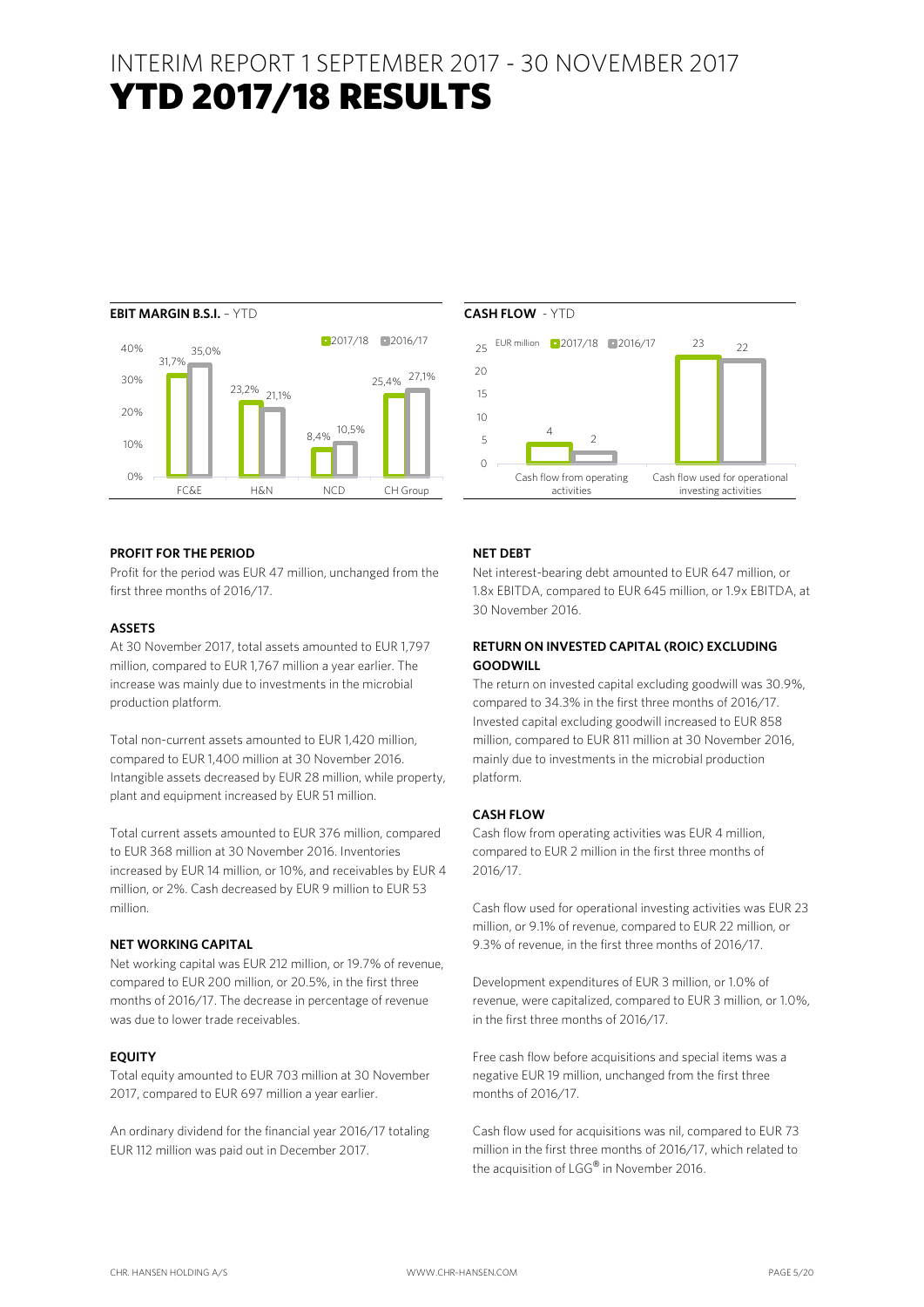## INTERIM REPORT 1 SEPTEMBER 2017 - 30 NOVEMBER 2017 YTD 2017/18 RESULTS 2017/18



#### **PROFIT FOR THE PERIOD**

Profit for the period was EUR 47 million, unchanged from the first three months of 2016/17.

#### **ASSETS**

At 30 November 2017, total assets amounted to EUR 1,797 million, compared to EUR 1,767 million a year earlier. The increase was mainly due to investments in the microbial production platform.

Total non-current assets amounted to EUR 1,420 million, compared to EUR 1,400 million at 30 November 2016. Intangible assets decreased by EUR 28 million, while property, plant and equipment increased by EUR 51 million.

Total current assets amounted to EUR 376 million, compared to EUR 368 million at 30 November 2016. Inventories increased by EUR 14 million, or 10%, and receivables by EUR 4 million, or 2%. Cash decreased by EUR 9 million to EUR 53 million.

#### **NET WORKING CAPITAL**

Net working capital was EUR 212 million, or 19.7% of revenue, compared to EUR 200 million, or 20.5%, in the first three months of 2016/17. The decrease in percentage of revenue was due to lower trade receivables.

#### **EQUITY**

Total equity amounted to EUR 703 million at 30 November 2017, compared to EUR 697 million a year earlier.

An ordinary dividend for the financial year 2016/17 totaling EUR 112 million was paid out in December 2017.





23

 $22$ 

#### **NET DEBT**

Net interest-bearing debt amounted to EUR 647 million, or 1.8x EBITDA, compared to EUR 645 million, or 1.9x EBITDA, at 30 November 2016.

#### **RETURN ON INVESTED CAPITAL (ROIC) EXCLUDING GOODWILL**

The return on invested capital excluding goodwill was 30.9%, compared to 34.3% in the first three months of 2016/17. Invested capital excluding goodwill increased to EUR 858 million, compared to EUR 811 million at 30 November 2016, mainly due to investments in the microbial production platform.

#### **CASH FLOW**

Cash flow from operating activities was EUR 4 million, compared to EUR 2 million in the first three months of 2016/17.

Cash flow used for operational investing activities was EUR 23 million, or 9.1% of revenue, compared to EUR 22 million, or 9.3% of revenue, in the first three months of 2016/17.

Development expenditures of EUR 3 million, or 1.0% of revenue, were capitalized, compared to EUR 3 million, or 1.0%, in the first three months of 2016/17.

Free cash flow before acquisitions and special items was a negative EUR 19 million, unchanged from the first three months of 2016/17.

Cash flow used for acquisitions was nil, compared to EUR 73 million in the first three months of 2016/17, which related to the acquisition of LGG® in November 2016.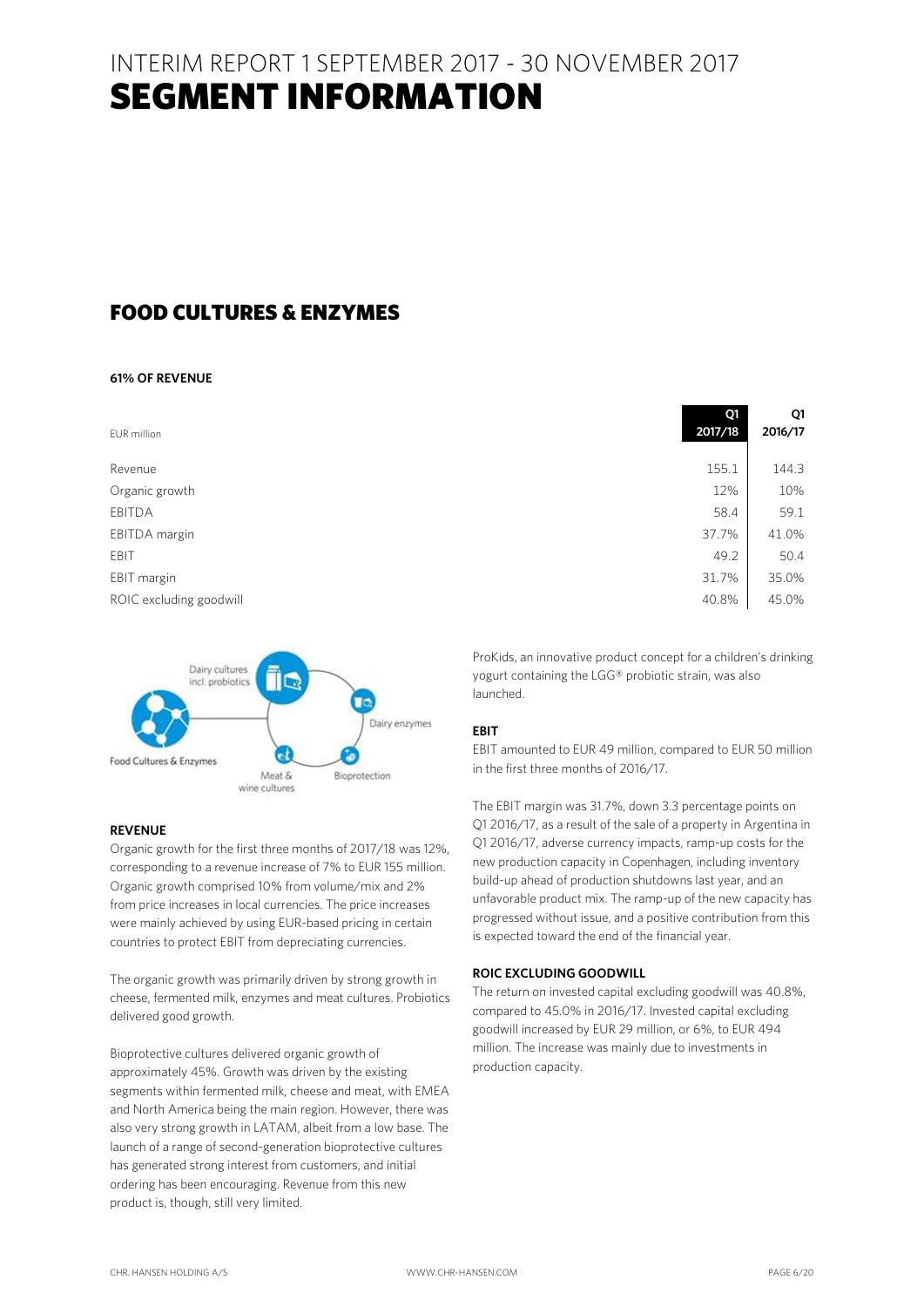## INTERIM REPORT 1 SEPTEMBER 2017 - 30 NOVEMBER 2017 SEGMENT INFORMATION

### FOOD CULTURES & ENZYMES

#### **61% OF REVENUE**

| EUR million             | Q1<br>2017/18 | Q1<br>2016/17 |
|-------------------------|---------------|---------------|
| Revenue                 | 155.1         | 144.3         |
| Organic growth          | 12%           | 10%           |
| EBITDA                  | 58.4          | 59.1          |
| EBITDA margin           | 37.7%         | 41.0%         |
| EBIT                    | 49.2          | 50.4          |
| EBIT margin             | 31.7%         | 35.0%         |
| ROIC excluding goodwill | 40.8%         | 45.0%         |



#### **REVENUE**

Organic growth for the first three months of 2017/18 was 12%, corresponding to a revenue increase of 7% to EUR 155 million. Organic growth comprised 10% from volume/mix and 2% from price increases in local currencies. The price increases were mainly achieved by using EUR-based pricing in certain countries to protect EBIT from depreciating currencies.

The organic growth was primarily driven by strong growth in cheese, fermented milk, enzymes and meat cultures. Probiotics delivered good growth.

Bioprotective cultures delivered organic growth of approximately 45%. Growth was driven by the existing segments within fermented milk, cheese and meat, with EMEA and North America being the main region. However, there was also very strong growth in LATAM, albeit from a low base. The launch of a range of second-generation bioprotective cultures has generated strong interest from customers, and initial ordering has been encouraging. Revenue from this new product is, though, still very limited.

ProKids, an innovative product concept for a children's drinking yogurt containing the LGG® probiotic strain, was also launched.

#### **EBIT**

EBIT amounted to EUR 49 million, compared to EUR 50 million in the first three months of 2016/17.

The EBIT margin was 31.7%, down 3.3 percentage points on Q1 2016/17, as a result of the sale of a property in Argentina in Q1 2016/17, adverse currency impacts, ramp-up costs for the new production capacity in Copenhagen, including inventory build-up ahead of production shutdowns last year, and an unfavorable product mix. The ramp-up of the new capacity has progressed without issue, and a positive contribution from this is expected toward the end of the financial year.

#### **ROIC EXCLUDING GOODWILL**

The return on invested capital excluding goodwill was 40.8%, compared to 45.0% in 2016/17. Invested capital excluding goodwill increased by EUR 29 million, or 6%, to EUR 494 million. The increase was mainly due to investments in production capacity.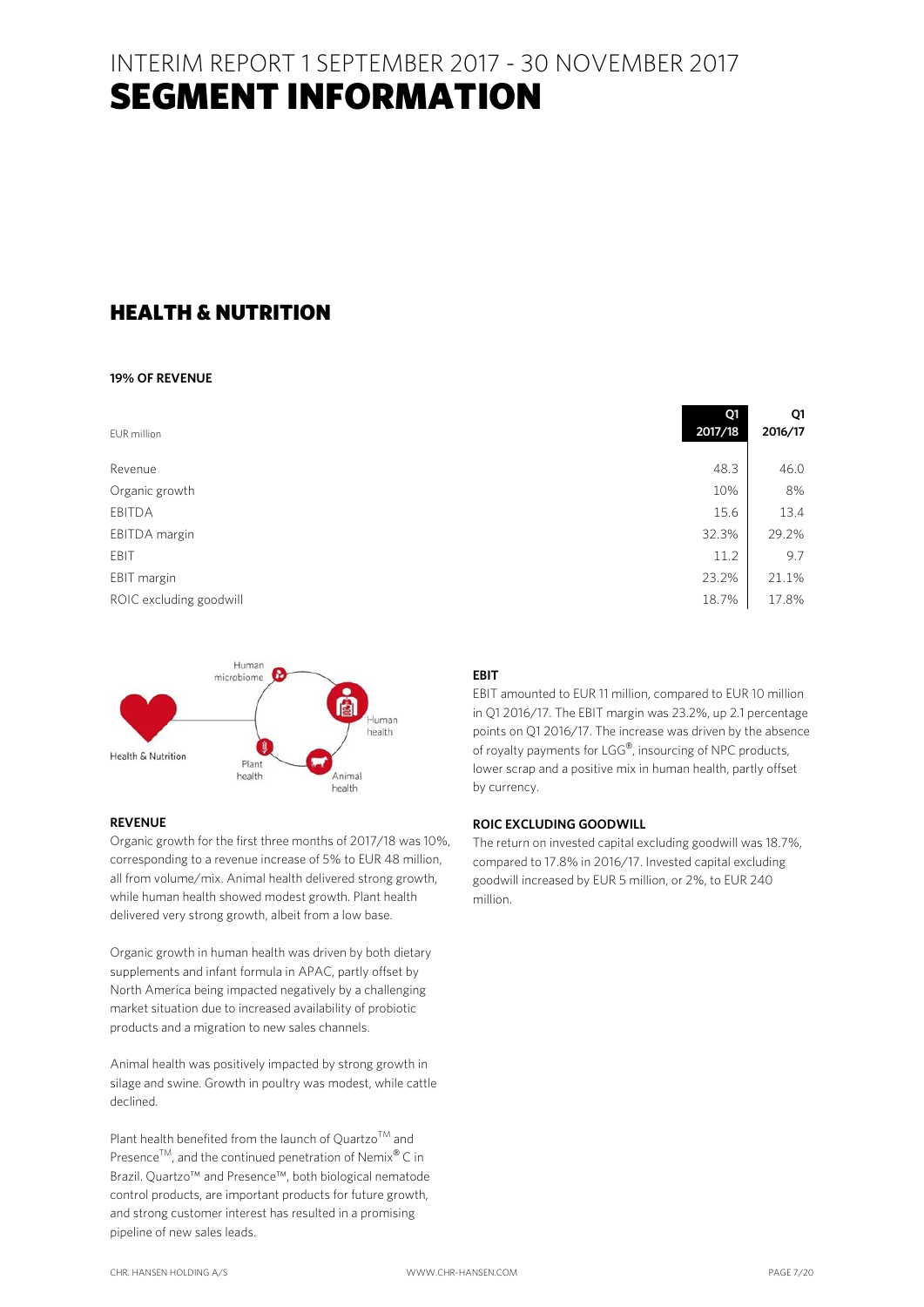## INTERIM REPORT 1 SEPTEMBER 2017 - 30 NOVEMBER 2017 SEGMENT INFORMATION

### HEALTH & NUTRITION

#### **19% OF REVENUE**

| EUR million             | Q1<br>2017/18 | Q1<br>2016/17 |
|-------------------------|---------------|---------------|
| Revenue                 | 48.3          | 46.0          |
| Organic growth          | 10%           | 8%            |
| EBITDA                  | 15.6          | 13.4          |
| EBITDA margin           | 32.3%         | 29.2%         |
| EBIT                    | 11.2          | 9.7           |
| EBIT margin             | 23.2%         | 21.1%         |
| ROIC excluding goodwill | 18.7%         | 17.8%         |



#### **REVENUE**

Organic growth for the first three months of 2017/18 was 10%, corresponding to a revenue increase of 5% to EUR 48 million, all from volume/mix. Animal health delivered strong growth, while human health showed modest growth. Plant health delivered very strong growth, albeit from a low base.

Organic growth in human health was driven by both dietary supplements and infant formula in APAC, partly offset by North America being impacted negatively by a challenging market situation due to increased availability of probiotic products and a migration to new sales channels.

Animal health was positively impacted by strong growth in silage and swine. Growth in poultry was modest, while cattle declined.

Plant health benefited from the launch of Quartzo<sup>TM</sup> and Presence<sup>TM</sup>, and the continued penetration of Nemix<sup>®</sup> C in Brazil. Quartzo™ and Presence™, both biological nematode control products, are important products for future growth, and strong customer interest has resulted in a promising pipeline of new sales leads.

#### **EBIT**

EBIT amounted to EUR 11 million, compared to EUR 10 million in Q1 2016/17. The EBIT margin was 23.2%, up 2.1 percentage points on Q1 2016/17. The increase was driven by the absence of royalty payments for LGG®, insourcing of NPC products, lower scrap and a positive mix in human health, partly offset by currency.

#### **ROIC EXCLUDING GOODWILL**

The return on invested capital excluding goodwill was 18.7%, compared to 17.8% in 2016/17. Invested capital excluding goodwill increased by EUR 5 million, or 2%, to EUR 240 million.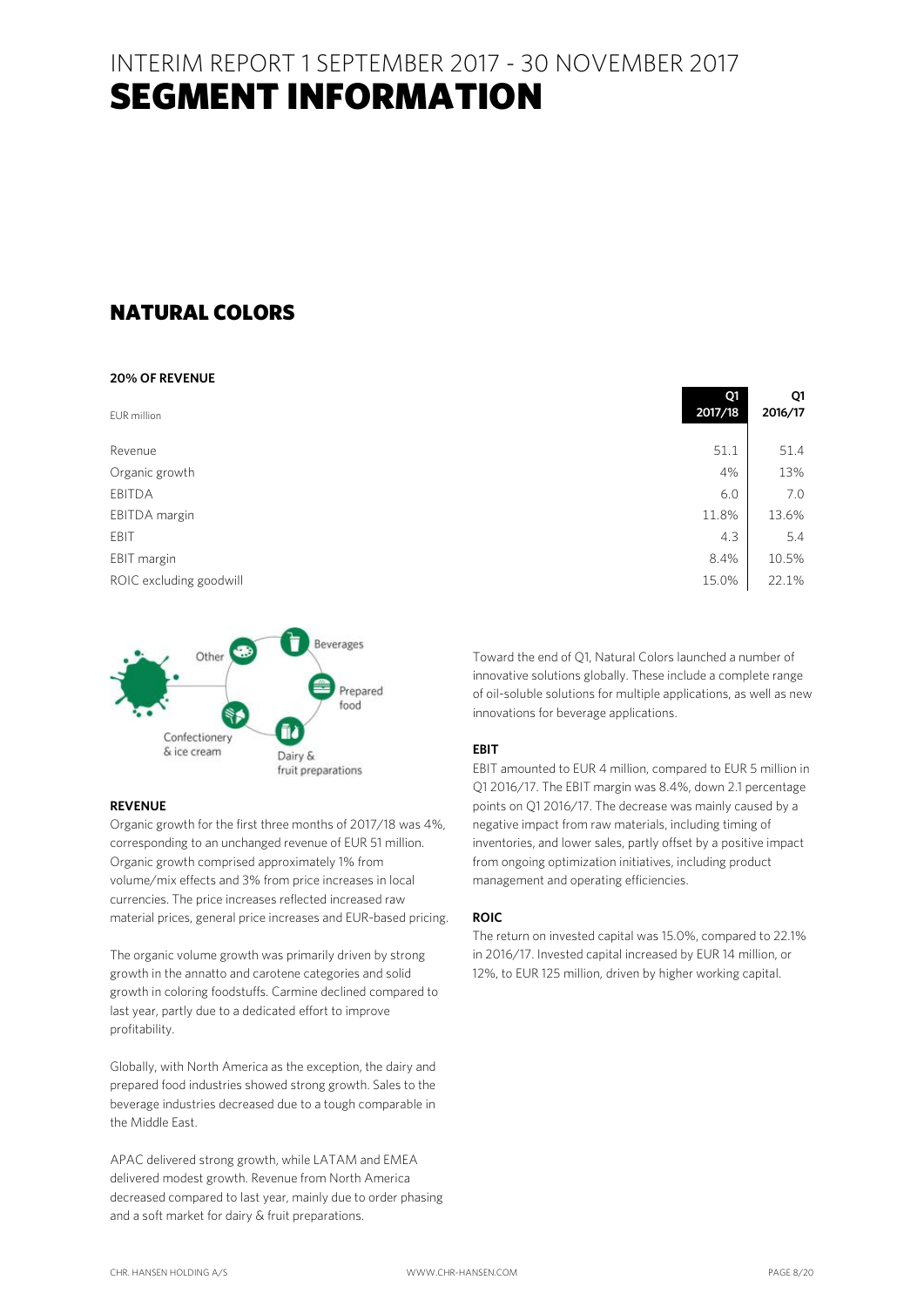## INTERIM REPORT 1 SEPTEMBER 2017 - 30 NOVEMBER 2017 SEGMENT INFORMATION

### NATURAL COLORS

### **20% OF REVENUE**

| EUR million             | ≺<br>2017/18 | ◡<br>2016/17 |
|-------------------------|--------------|--------------|
| Revenue                 | 51.1         | 51.4         |
| Organic growth          | 4%           | 13%          |
| EBITDA                  | 6.0          | 7.0          |
| EBITDA margin           | 11.8%        | 13.6%        |
| EBIT                    | 4.3          | 5.4          |
| EBIT margin             | 8.4%         | 10.5%        |
| ROIC excluding goodwill | 15.0%        | 22.1%        |



#### **REVENUE**

Organic growth for the first three months of 2017/18 was 4%, corresponding to an unchanged revenue of EUR 51 million. Organic growth comprised approximately 1% from volume/mix effects and 3% from price increases in local currencies. The price increases reflected increased raw material prices, general price increases and EUR-based pricing.

The organic volume growth was primarily driven by strong growth in the annatto and carotene categories and solid growth in coloring foodstuffs. Carmine declined compared to last year, partly due to a dedicated effort to improve profitability.

Globally, with North America as the exception, the dairy and prepared food industries showed strong growth. Sales to the beverage industries decreased due to a tough comparable in the Middle East.

APAC delivered strong growth, while LATAM and EMEA delivered modest growth. Revenue from North America decreased compared to last year, mainly due to order phasing and a soft market for dairy & fruit preparations.

| 2017/18 | 2016/17 |
|---------|---------|
|         |         |
| 51.1    | 51.4    |
| 4%      | 13%     |
| 6.0     | 70      |
| 11.8%   | 13.6%   |
| 4.3     | 5.4     |
| 8.4%    | 10.5%   |
| 15.0%   | 22.1%   |
|         |         |

**Q**1

 $\Omega$ 

Toward the end of Q1, Natural Colors launched a number of innovative solutions globally. These include a complete range of oil-soluble solutions for multiple applications, as well as new innovations for beverage applications.

#### **EBIT**

EBIT amounted to EUR 4 million, compared to EUR 5 million in Q1 2016/17. The EBIT margin was 8.4%, down 2.1 percentage points on Q1 2016/17. The decrease was mainly caused by a negative impact from raw materials, including timing of inventories, and lower sales, partly offset by a positive impact from ongoing optimization initiatives, including product management and operating efficiencies.

#### **ROIC**

The return on invested capital was 15.0%, compared to 22.1% in 2016/17. Invested capital increased by EUR 14 million, or 12%, to EUR 125 million, driven by higher working capital.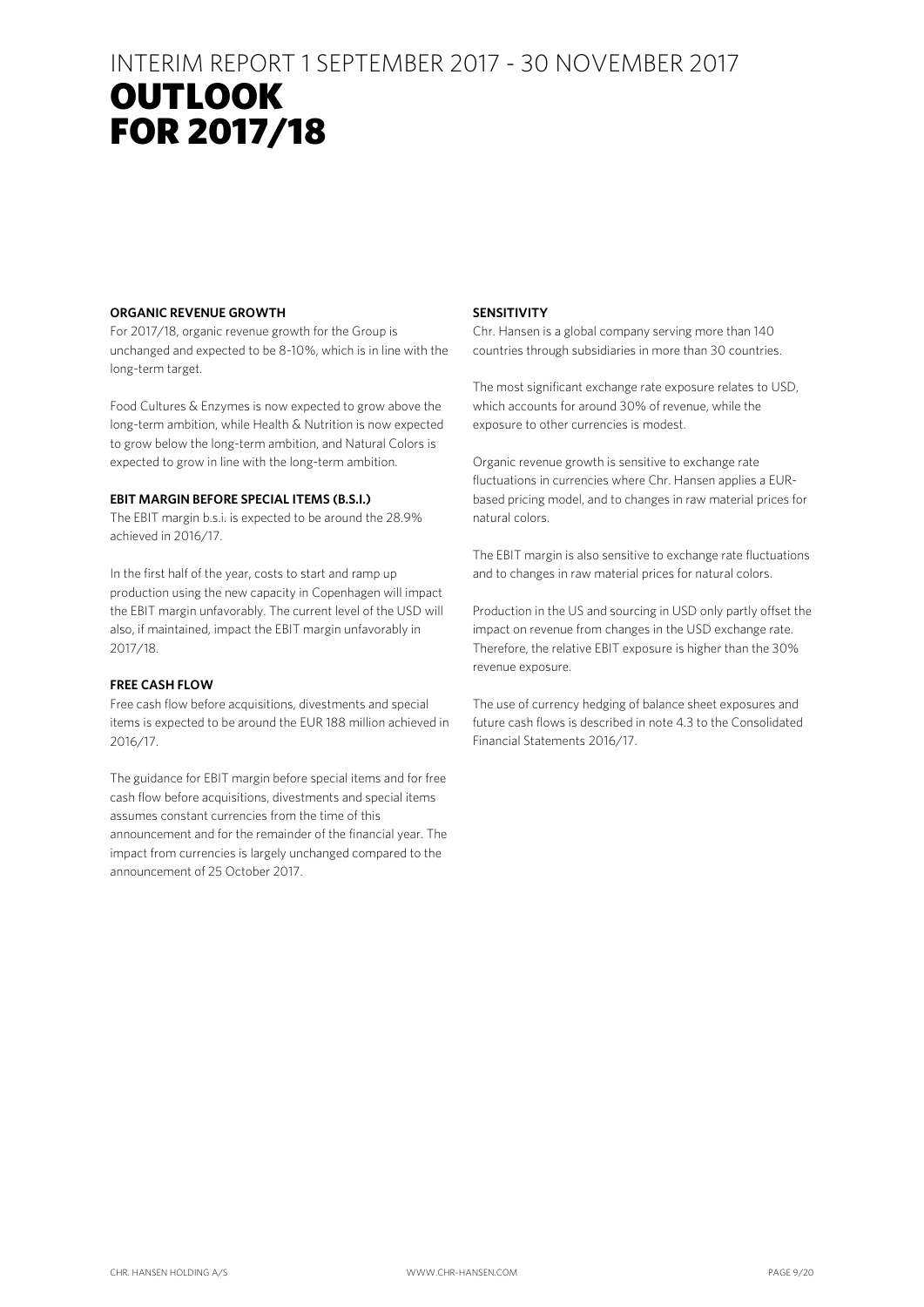## INTERIM REPORT 1 SEPTEMBER 2017 - 30 NOVEMBER 2017 OUTLOOK **RESULTS** FOR 2017/18

#### **ORGANIC REVENUE GROWTH**

For 2017/18, organic revenue growth for the Group is unchanged and expected to be 8-10%, which is in line with the long-term target.

Food Cultures & Enzymes is now expected to grow above the long-term ambition, while Health & Nutrition is now expected to grow below the long-term ambition, and Natural Colors is expected to grow in line with the long-term ambition.

#### **EBIT MARGIN BEFORE SPECIAL ITEMS (B.S.I.)**

The EBIT margin b.s.i. is expected to be around the 28.9% achieved in 2016/17.

In the first half of the year, costs to start and ramp up production using the new capacity in Copenhagen will impact the EBIT margin unfavorably. The current level of the USD will also, if maintained, impact the EBIT margin unfavorably in 2017/18.

#### **FREE CASH FLOW**

Free cash flow before acquisitions, divestments and special items is expected to be around the EUR 188 million achieved in 2016/17.

The guidance for EBIT margin before special items and for free cash flow before acquisitions, divestments and special items assumes constant currencies from the time of this announcement and for the remainder of the financial year. The impact from currencies is largely unchanged compared to the announcement of 25 October 2017.

#### **SENSITIVITY**

Chr. Hansen is a global company serving more than 140 countries through subsidiaries in more than 30 countries.

The most significant exchange rate exposure relates to USD, which accounts for around 30% of revenue, while the exposure to other currencies is modest.

Organic revenue growth is sensitive to exchange rate fluctuations in currencies where Chr. Hansen applies a EURbased pricing model, and to changes in raw material prices for natural colors.

The EBIT margin is also sensitive to exchange rate fluctuations and to changes in raw material prices for natural colors.

Production in the US and sourcing in USD only partly offset the impact on revenue from changes in the USD exchange rate. Therefore, the relative EBIT exposure is higher than the 30% revenue exposure.

The use of currency hedging of balance sheet exposures and future cash flows is described in note 4.3 to the Consolidated Financial Statements 2016/17.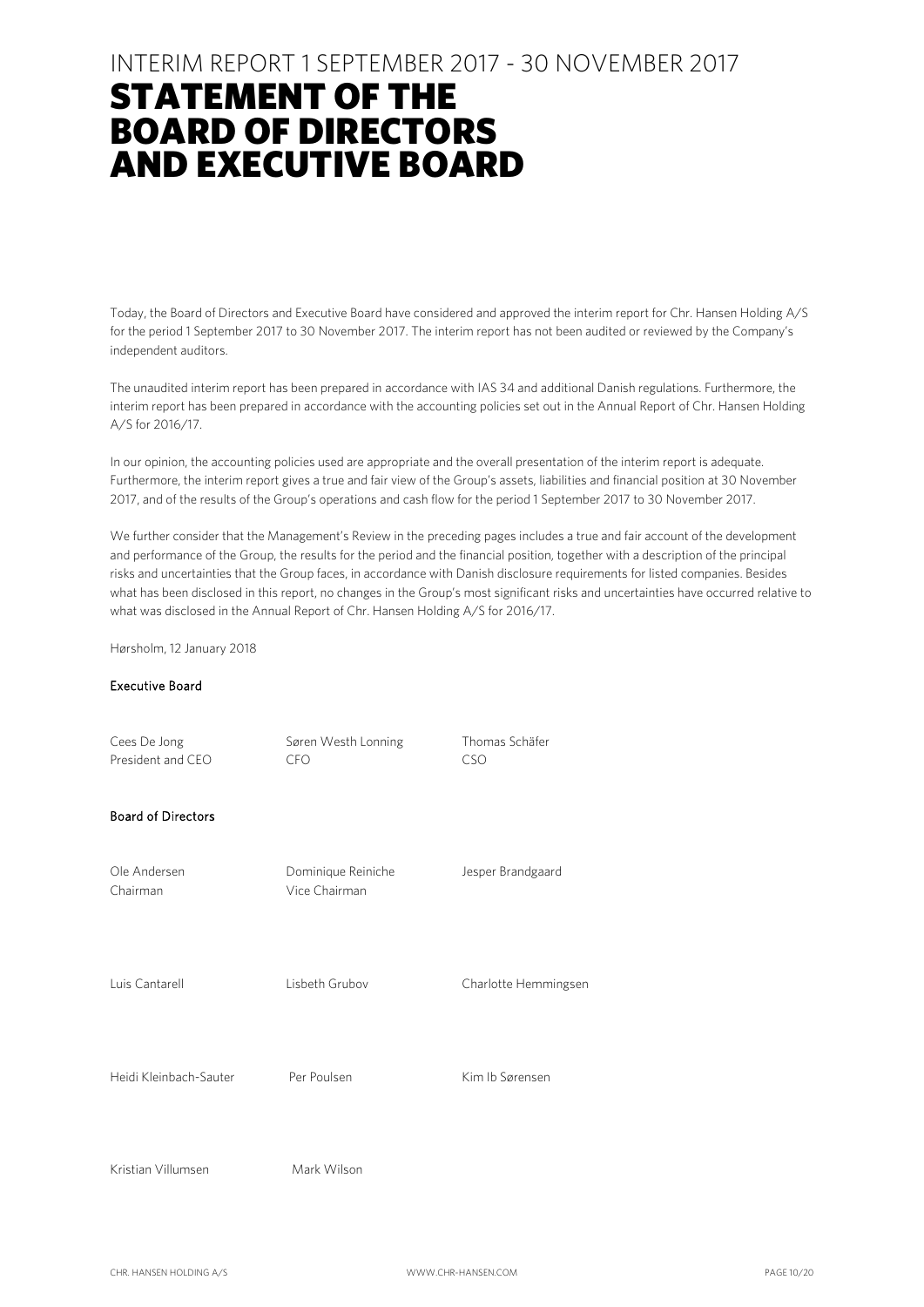### INTERIM REPORT 1 SEPTEMBER 2017 - 30 NOVEMBER 2017

## STATEMENT OF THE BOARD OF DIRECTORS AND EXECUTIVE BOARD

Today, the Board of Directors and Executive Board have considered and approved the interim report for Chr. Hansen Holding A/S for the period 1 September 2017 to 30 November 2017. The interim report has not been audited or reviewed by the Company's independent auditors.

The unaudited interim report has been prepared in accordance with IAS 34 and additional Danish regulations. Furthermore, the interim report has been prepared in accordance with the accounting policies set out in the Annual Report of Chr. Hansen Holding A/S for 2016/17.

In our opinion, the accounting policies used are appropriate and the overall presentation of the interim report is adequate. Furthermore, the interim report gives a true and fair view of the Group's assets, liabilities and financial position at 30 November 2017, and of the results of the Group's operations and cash flow for the period 1 September 2017 to 30 November 2017.

We further consider that the Management's Review in the preceding pages includes a true and fair account of the development and performance of the Group, the results for the period and the financial position, together with a description of the principal risks and uncertainties that the Group faces, in accordance with Danish disclosure requirements for listed companies. Besides what has been disclosed in this report, no changes in the Group's most significant risks and uncertainties have occurred relative to what was disclosed in the Annual Report of Chr. Hansen Holding A/S for 2016/17.

Hørsholm, 12 January 2018

#### Executive Board

| Cees De Jong<br>President and CEO | Søren Westh Lonning<br><b>CFO</b>   | Thomas Schäfer<br><b>CSO</b> |
|-----------------------------------|-------------------------------------|------------------------------|
| <b>Board of Directors</b>         |                                     |                              |
| Ole Andersen<br>Chairman          | Dominique Reiniche<br>Vice Chairman | Jesper Brandgaard            |
| Luis Cantarell                    | Lisbeth Grubov                      | Charlotte Hemmingsen         |
| Heidi Kleinbach-Sauter            | Per Poulsen                         | Kim Ib Sørensen              |
| Kristian Villumsen                | Mark Wilson                         |                              |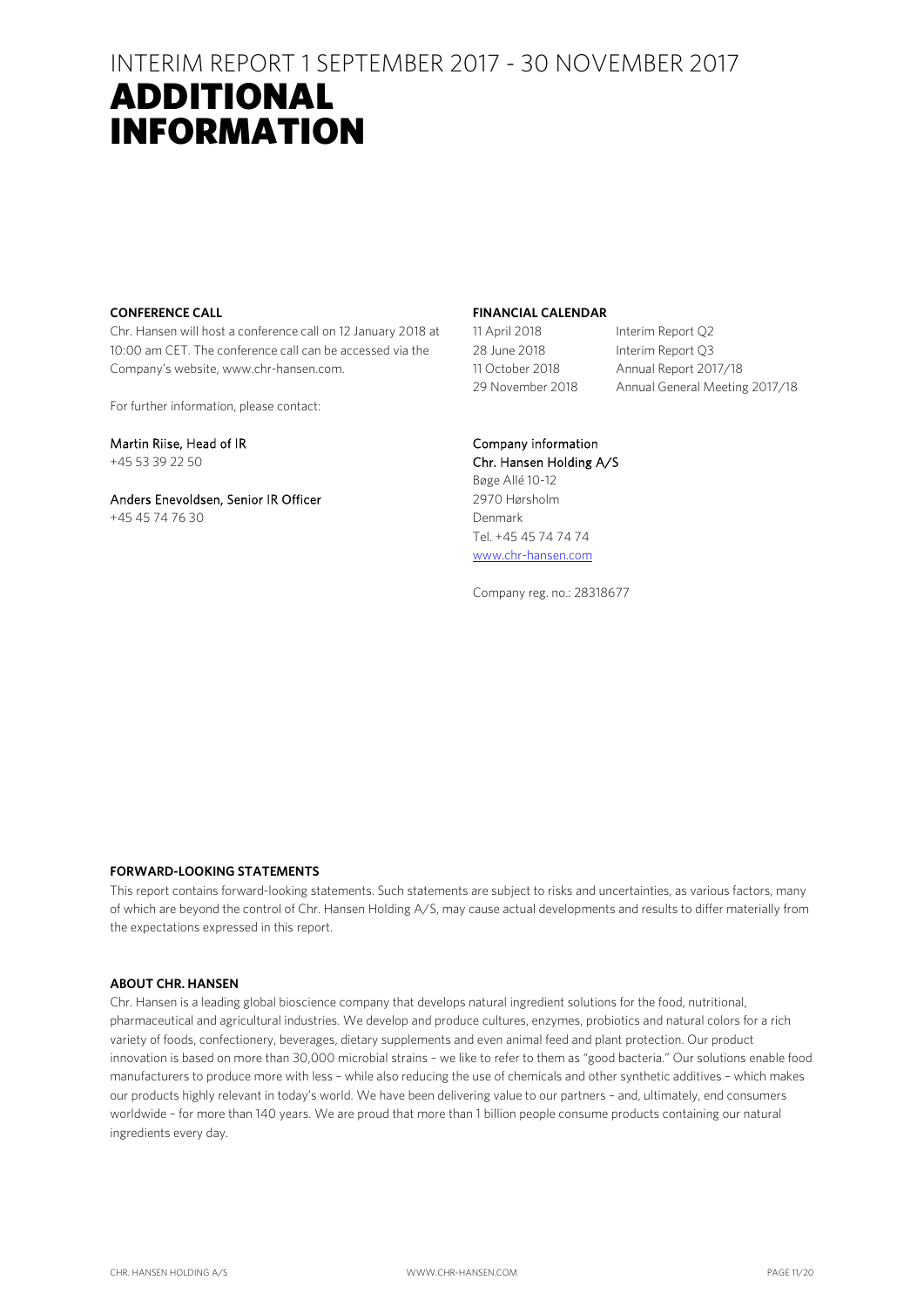### INTERIM REPORT 1 SEPTEMBER 2017 - 30 NOVEMBER 2017 ADDITIONAL INFORMATION

#### **CONFERENCE CALL**

Chr. Hansen will host a conference call on 12 January 2018 at 10:00 am CET. The conference call can be accessed via the Company's website, www.chr-hansen.com.

For further information, please contact:

Martin Riise, Head of IR +45 53 39 22 50

Anders Enevoldsen, Senior IR Officer +45 45 74 76 30

#### **FINANCIAL CALENDAR**

28 June 2018 Interim Report Q3

11 April 2018 Interim Report Q2 11 October 2018 Annual Report 2017/18 29 November 2018 Annual General Meeting 2017/18

#### Company information

Chr. Hansen Holding A/S Bøge Allé 10-12 2970 Hørsholm Denmark Tel. +45 45 74 74 74 [www.chr-hansen.com](http://www.chr-hansen.com/)

Company reg. no.: 28318677

#### **FORWARD-LOOKING STATEMENTS**

This report contains forward-looking statements. Such statements are subject to risks and uncertainties, as various factors, many of which are beyond the control of Chr. Hansen Holding A/S, may cause actual developments and results to differ materially from the expectations expressed in this report.

#### **ABOUT CHR. HANSEN**

Chr. Hansen is a leading global bioscience company that develops natural ingredient solutions for the food, nutritional, pharmaceutical and agricultural industries. We develop and produce cultures, enzymes, probiotics and natural colors for a rich variety of foods, confectionery, beverages, dietary supplements and even animal feed and plant protection. Our product innovation is based on more than 30,000 microbial strains – we like to refer to them as "good bacteria." Our solutions enable food manufacturers to produce more with less – while also reducing the use of chemicals and other synthetic additives – which makes our products highly relevant in today's world. We have been delivering value to our partners – and, ultimately, end consumers worldwide – for more than 140 years. We are proud that more than 1 billion people consume products containing our natural ingredients every day.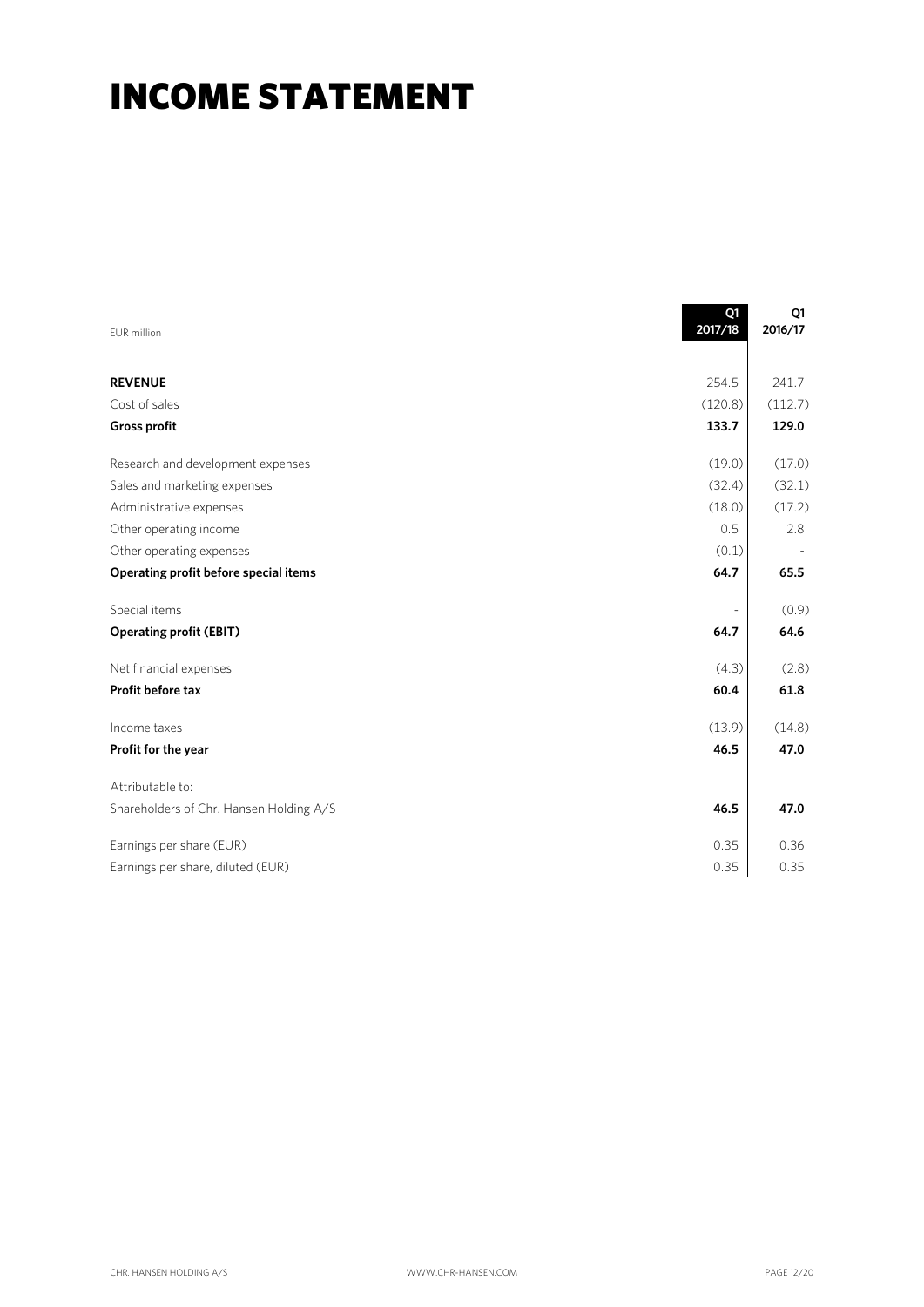## INCOME STATEMENT

| EUR million                             | Q1<br>2017/18  | Q1<br>2016/17 |
|-----------------------------------------|----------------|---------------|
|                                         |                |               |
| <b>REVENUE</b>                          | 254.5          | 241.7         |
| Cost of sales                           | (120.8)        | (112.7)       |
| <b>Gross profit</b>                     | 133.7          | 129.0         |
| Research and development expenses       | (19.0)         | (17.0)        |
| Sales and marketing expenses            | (32.4)         | (32.1)        |
| Administrative expenses                 | (18.0)         | (17.2)        |
| Other operating income                  | 0.5            | 2.8           |
| Other operating expenses                | (0.1)          |               |
| Operating profit before special items   | 64.7           | 65.5          |
| Special items                           | $\overline{a}$ | (0.9)         |
| <b>Operating profit (EBIT)</b>          | 64.7           | 64.6          |
| Net financial expenses                  | (4.3)          | (2.8)         |
| Profit before tax                       | 60.4           | 61.8          |
| Income taxes                            | (13.9)         | (14.8)        |
| Profit for the year                     | 46.5           | 47.0          |
| Attributable to:                        |                |               |
| Shareholders of Chr. Hansen Holding A/S | 46.5           | 47.0          |
| Earnings per share (EUR)                | 0.35           | 0.36          |
| Earnings per share, diluted (EUR)       | 0.35           | 0.35          |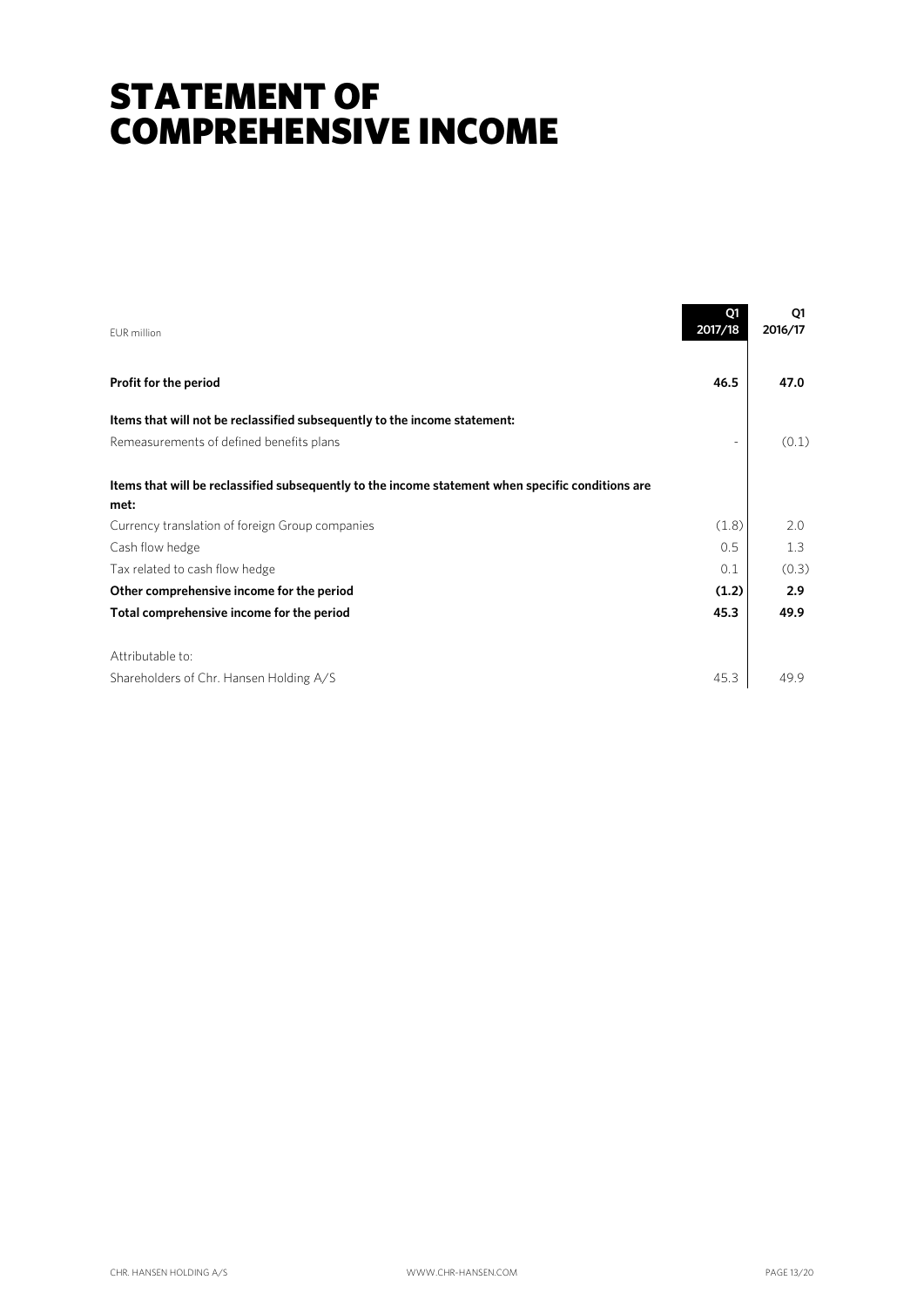## STATEMENT OF COMPREHENSIVE INCOME

| <b>EUR</b> million                                                                                | Q1<br>2017/18            | Q1<br>2016/17 |
|---------------------------------------------------------------------------------------------------|--------------------------|---------------|
| Profit for the period                                                                             | 46.5                     | 47.0          |
| Items that will not be reclassified subsequently to the income statement:                         |                          |               |
| Remeasurements of defined benefits plans                                                          | $\overline{\phantom{a}}$ | (0.1)         |
| Items that will be reclassified subsequently to the income statement when specific conditions are |                          |               |
| met:                                                                                              |                          |               |
| Currency translation of foreign Group companies                                                   | (1.8)                    | 2.0           |
| Cash flow hedge                                                                                   | 0.5                      | 1.3           |
| Tax related to cash flow hedge                                                                    | 0.1                      | (0.3)         |
| Other comprehensive income for the period                                                         | (1.2)                    | 2.9           |
| Total comprehensive income for the period                                                         | 45.3                     | 49.9          |
| Attributable to:                                                                                  |                          |               |
| Shareholders of Chr. Hansen Holding A/S                                                           | 45.3                     | 49.9          |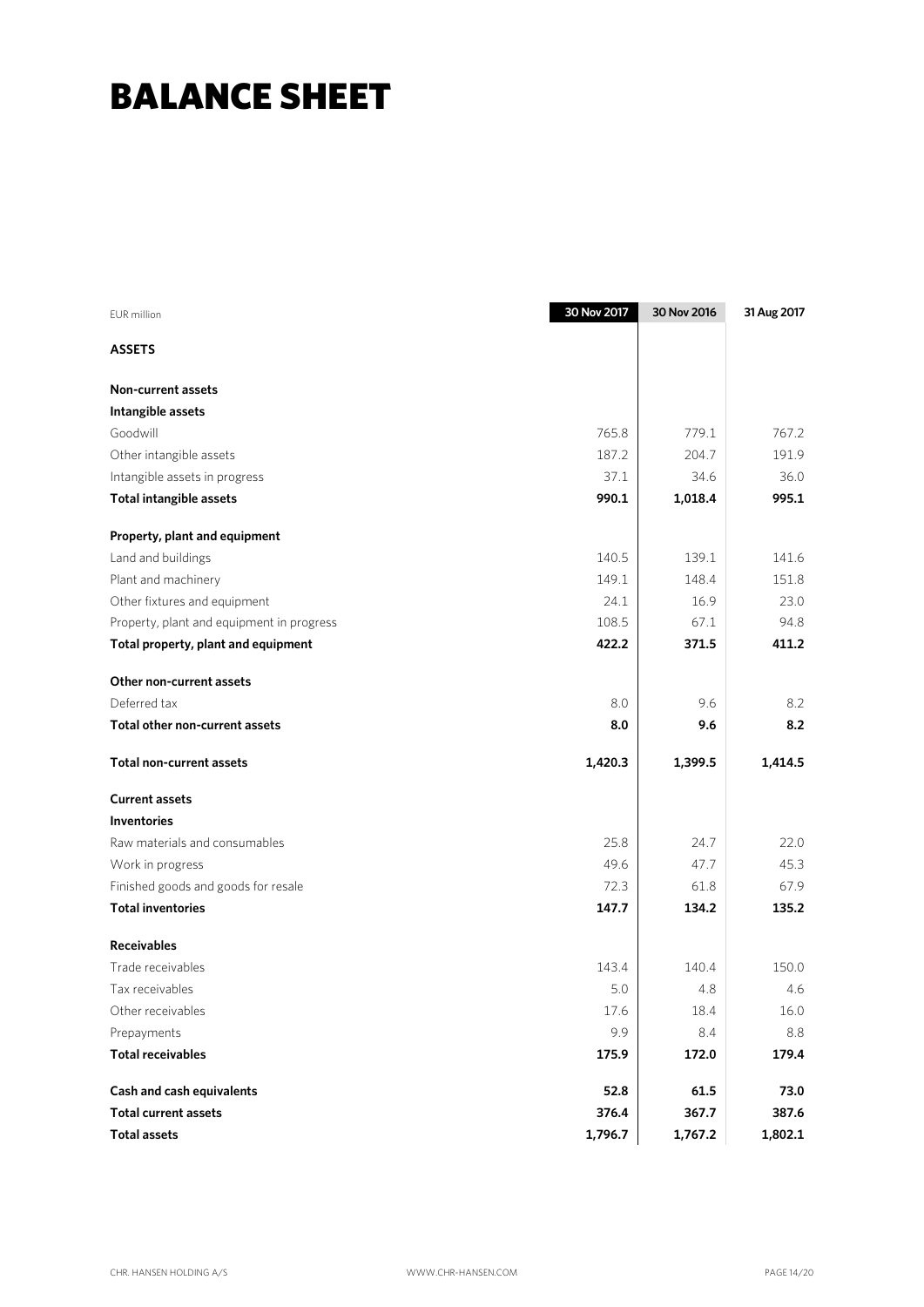## BALANCE SHEET

| <b>EUR</b> million                        | 30 Nov 2017 | 30 Nov 2016 | 31 Aug 2017 |
|-------------------------------------------|-------------|-------------|-------------|
| <b>ASSETS</b>                             |             |             |             |
| <b>Non-current assets</b>                 |             |             |             |
| Intangible assets                         |             |             |             |
| Goodwill                                  | 765.8       | 779.1       | 767.2       |
| Other intangible assets                   | 187.2       | 204.7       | 191.9       |
| Intangible assets in progress             | 37.1        | 34.6        | 36.0        |
| Total intangible assets                   | 990.1       | 1,018.4     | 995.1       |
| Property, plant and equipment             |             |             |             |
| Land and buildings                        | 140.5       | 139.1       | 141.6       |
| Plant and machinery                       | 149.1       | 148.4       | 151.8       |
| Other fixtures and equipment              | 24.1        | 16.9        | 23.0        |
| Property, plant and equipment in progress | 108.5       | 67.1        | 94.8        |
| Total property, plant and equipment       | 422.2       | 371.5       | 411.2       |
| Other non-current assets                  |             |             |             |
| Deferred tax                              | 8.0         | 9.6         | 8.2         |
| Total other non-current assets            | 8.0         | 9.6         | 8.2         |
| <b>Total non-current assets</b>           | 1,420.3     | 1,399.5     | 1,414.5     |
| <b>Current assets</b>                     |             |             |             |
| <b>Inventories</b>                        |             |             |             |
| Raw materials and consumables             | 25.8        | 24.7        | 22.0        |
| Work in progress                          | 49.6        | 47.7        | 45.3        |
| Finished goods and goods for resale       | 72.3        | 61.8        | 67.9        |
| <b>Total inventories</b>                  | 147.7       | 134.2       | 135.2       |
| <b>Receivables</b>                        |             |             |             |
| Trade receivables                         | 143.4       | 140.4       | 150.0       |
| Tax receivables                           | 5.0         | 4.8         | 4.6         |
| Other receivables                         | 17.6        | 18.4        | 16.0        |
| Prepayments                               | 9.9         | 8.4         | 8.8         |
| <b>Total receivables</b>                  | 175.9       | 172.0       | 179.4       |
| Cash and cash equivalents                 | 52.8        | 61.5        | 73.0        |
| <b>Total current assets</b>               | 376.4       | 367.7       | 387.6       |
| <b>Total assets</b>                       | 1,796.7     | 1,767.2     | 1,802.1     |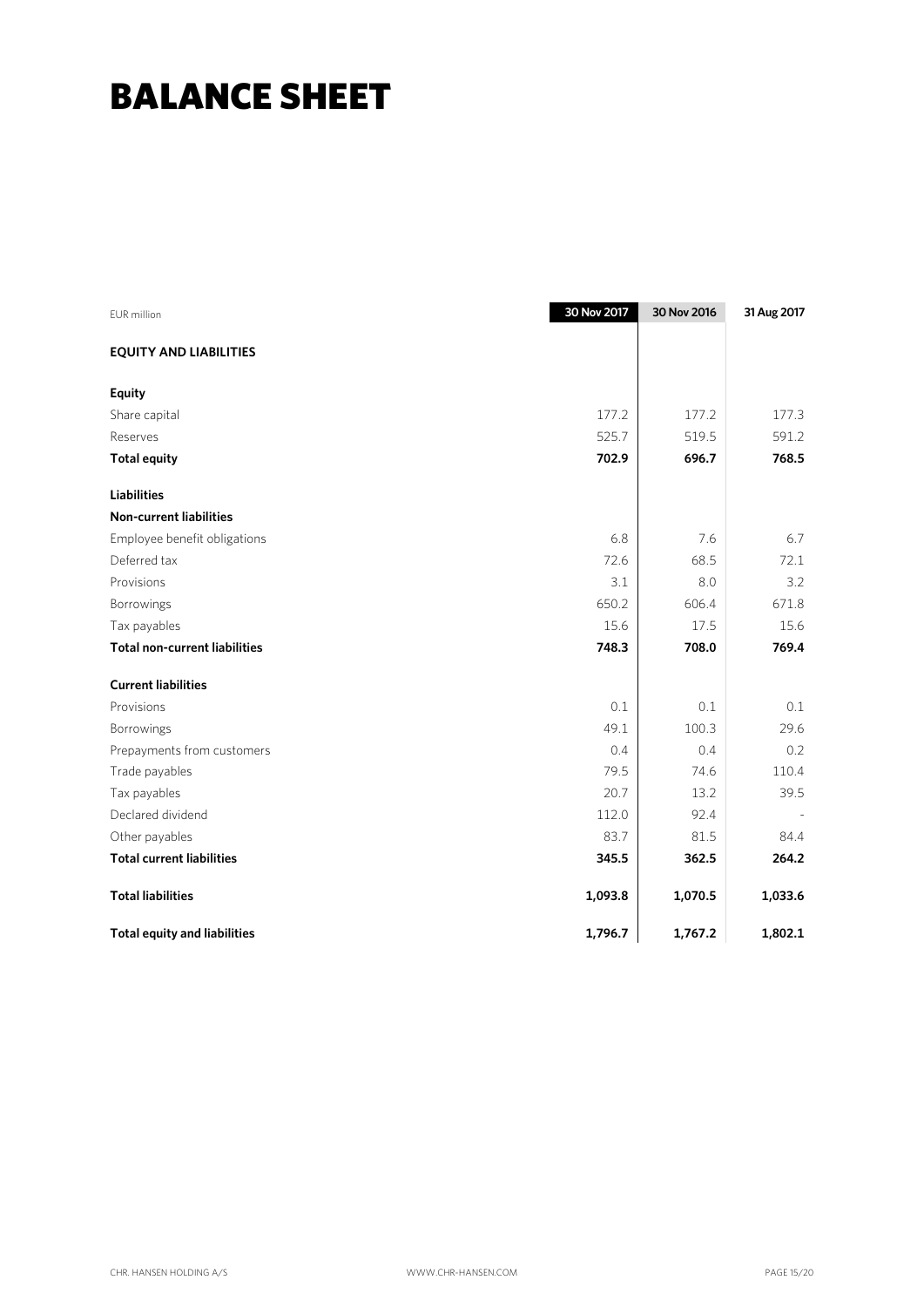## BALANCE SHEET

| EUR million                          | 30 Nov 2017 | 30 Nov 2016 | 31 Aug 2017 |
|--------------------------------------|-------------|-------------|-------------|
| <b>EQUITY AND LIABILITIES</b>        |             |             |             |
| <b>Equity</b>                        |             |             |             |
| Share capital                        | 177.2       | 177.2       | 177.3       |
| Reserves                             | 525.7       | 519.5       | 591.2       |
| <b>Total equity</b>                  | 702.9       | 696.7       | 768.5       |
| <b>Liabilities</b>                   |             |             |             |
| <b>Non-current liabilities</b>       |             |             |             |
| Employee benefit obligations         | 6.8         | 7.6         | 6.7         |
| Deferred tax                         | 72.6        | 68.5        | 72.1        |
| Provisions                           | 3.1         | 8.0         | 3.2         |
| Borrowings                           | 650.2       | 606.4       | 671.8       |
| Tax payables                         | 15.6        | 17.5        | 15.6        |
| <b>Total non-current liabilities</b> | 748.3       | 708.0       | 769.4       |
| <b>Current liabilities</b>           |             |             |             |
| Provisions                           | 0.1         | 0.1         | 0.1         |
| Borrowings                           | 49.1        | 100.3       | 29.6        |
| Prepayments from customers           | 0.4         | 0.4         | 0.2         |
| Trade payables                       | 79.5        | 74.6        | 110.4       |
| Tax payables                         | 20.7        | 13.2        | 39.5        |
| Declared dividend                    | 112.0       | 92.4        |             |
| Other payables                       | 83.7        | 81.5        | 84.4        |
| <b>Total current liabilities</b>     | 345.5       | 362.5       | 264.2       |
| <b>Total liabilities</b>             | 1,093.8     | 1,070.5     | 1,033.6     |
| <b>Total equity and liabilities</b>  | 1,796.7     | 1,767.2     | 1,802.1     |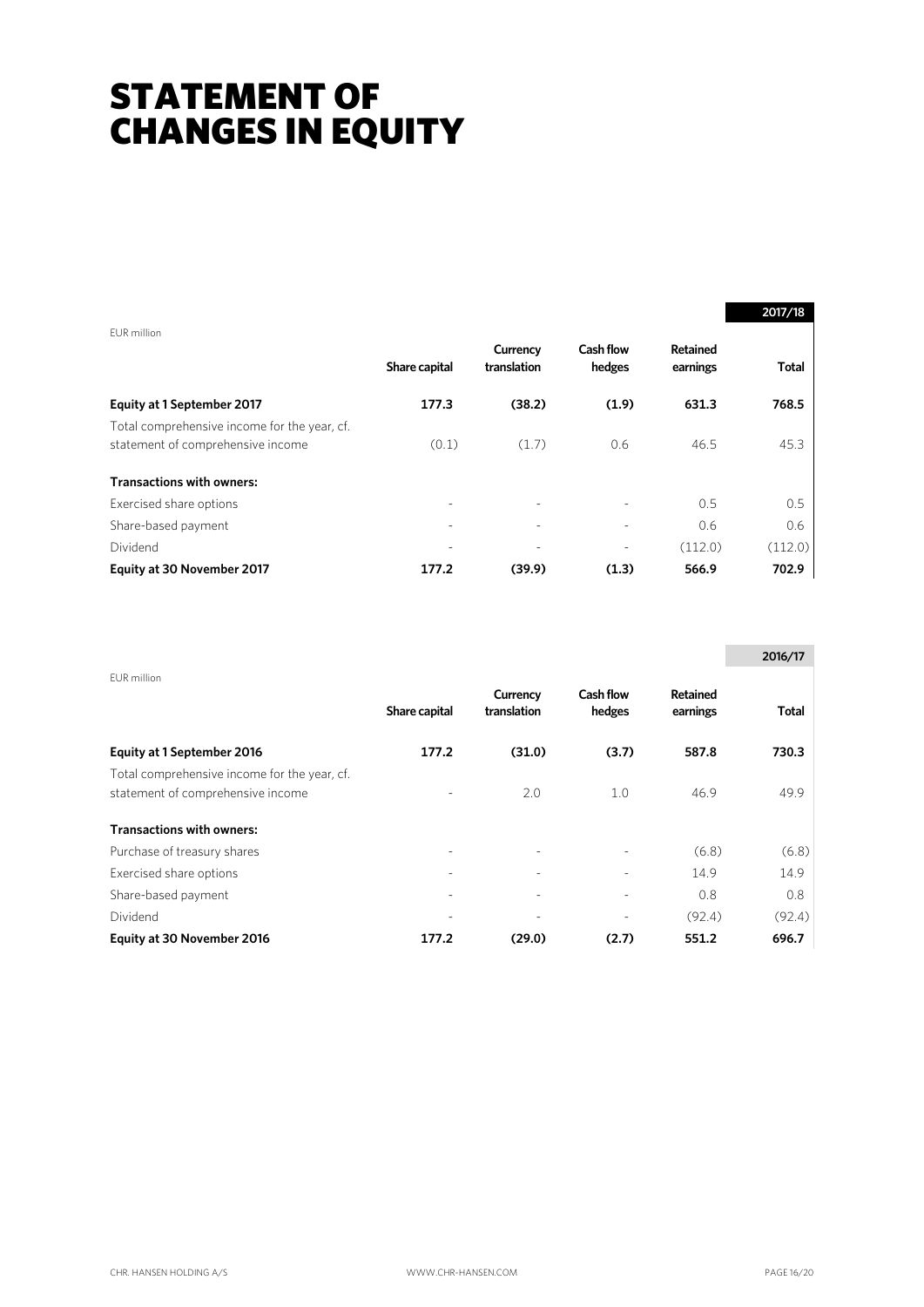## STATEMENT OF CHANGES IN EQUITY

|                                                                                   |                          |                          |                     |                      | 2017/18      |
|-----------------------------------------------------------------------------------|--------------------------|--------------------------|---------------------|----------------------|--------------|
| EUR million                                                                       | Share capital            | Currency<br>translation  | Cash flow<br>hedges | Retained<br>earnings | <b>Total</b> |
| Equity at 1 September 2017                                                        | 177.3                    | (38.2)                   | (1.9)               | 631.3                | 768.5        |
| Total comprehensive income for the year, cf.<br>statement of comprehensive income | (0.1)                    | (1.7)                    | 0.6                 | 46.5                 | 45.3         |
| <b>Transactions with owners:</b>                                                  |                          |                          |                     |                      |              |
| Exercised share options                                                           | $\overline{a}$           | $\overline{\phantom{a}}$ |                     | 0.5                  | 0.5          |
| Share-based payment                                                               | $\overline{\phantom{a}}$ |                          |                     | 0.6                  | 0.6          |
| Dividend                                                                          | $\overline{\phantom{0}}$ | $\overline{\phantom{a}}$ |                     | (112.0)              | (112.0)      |
| Equity at 30 November 2017                                                        | 177.2                    | (39.9)                   | (1.3)               | 566.9                | 702.9        |

|                                                                                   |               |                         |                            |                      | 2016/17 |
|-----------------------------------------------------------------------------------|---------------|-------------------------|----------------------------|----------------------|---------|
| EUR million                                                                       | Share capital | Currency<br>translation | <b>Cash flow</b><br>hedges | Retained<br>earnings | Total   |
| Equity at 1 September 2016                                                        | 177.2         | (31.0)                  | (3.7)                      | 587.8                | 730.3   |
| Total comprehensive income for the year, cf.<br>statement of comprehensive income |               | 2.0                     | 1.0                        | 46.9                 | 49.9    |
| <b>Transactions with owners:</b>                                                  |               |                         |                            |                      |         |
| Purchase of treasury shares                                                       |               |                         |                            | (6.8)                | (6.8)   |
| Exercised share options                                                           |               |                         |                            | 14.9                 | 14.9    |
| Share-based payment                                                               |               |                         | $\overline{\phantom{a}}$   | 0.8                  | 0.8     |
| Dividend                                                                          |               |                         |                            | (92.4)               | (92.4)  |
| Equity at 30 November 2016                                                        | 177.2         | (29.0)                  | (2.7)                      | 551.2                | 696.7   |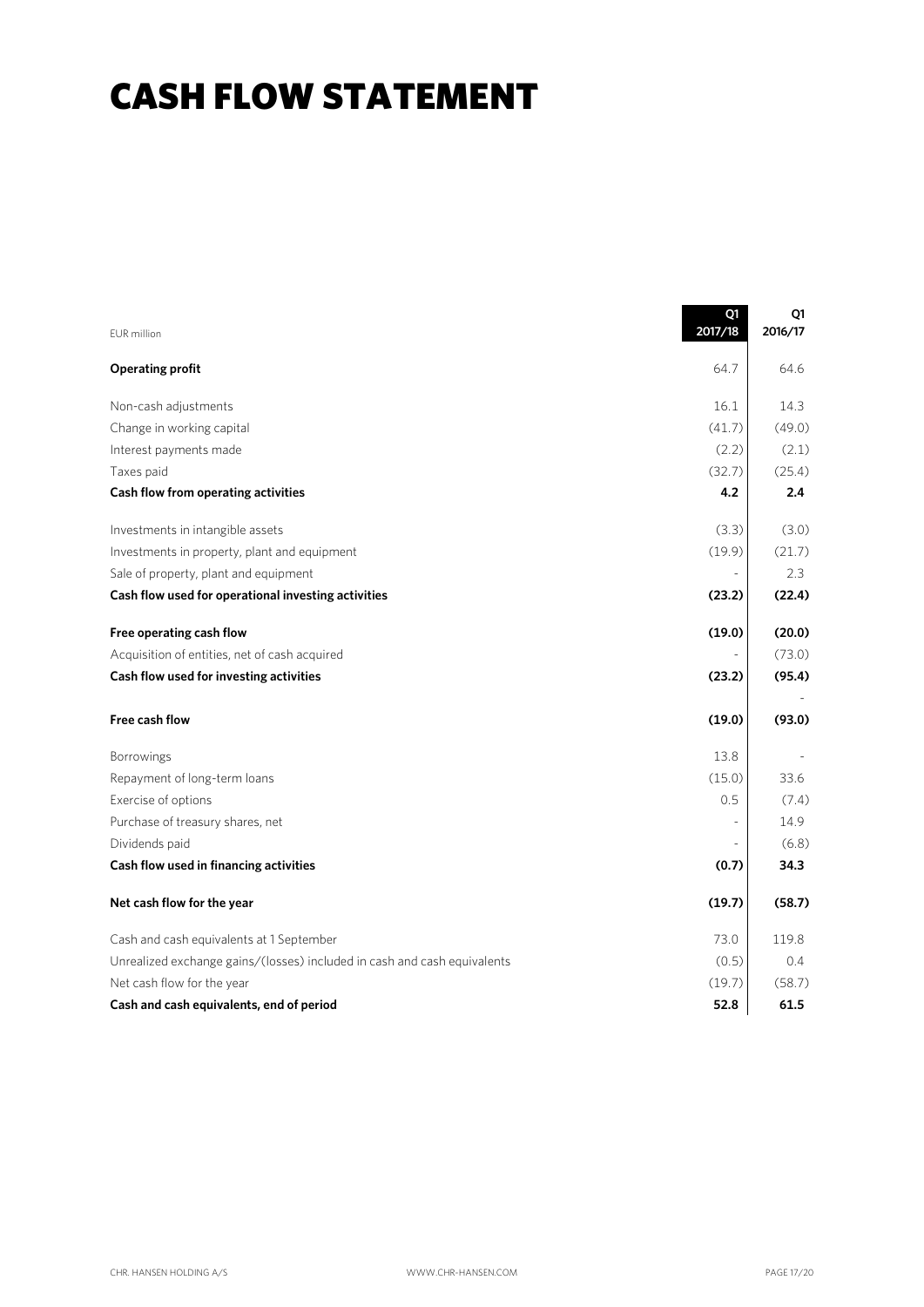## CASH FLOW STATEMENT

|                                                                          | Q1<br>2017/18  | Q1<br>2016/17 |
|--------------------------------------------------------------------------|----------------|---------------|
| <b>EUR</b> million                                                       |                |               |
| <b>Operating profit</b>                                                  | 64.7           | 64.6          |
| Non-cash adjustments                                                     | 16.1           | 14.3          |
| Change in working capital                                                | (41.7)         | (49.0)        |
| Interest payments made                                                   | (2.2)          | (2.1)         |
| Taxes paid                                                               | (32.7)         | (25.4)        |
| Cash flow from operating activities                                      | 4.2            | 2.4           |
| Investments in intangible assets                                         | (3.3)          | (3.0)         |
| Investments in property, plant and equipment                             | (19.9)         | (21.7)        |
| Sale of property, plant and equipment                                    | $\overline{a}$ | 2.3           |
| Cash flow used for operational investing activities                      | (23.2)         | (22.4)        |
| Free operating cash flow                                                 | (19.0)         | (20.0)        |
| Acquisition of entities, net of cash acquired                            |                | (73.0)        |
| Cash flow used for investing activities                                  | (23.2)         | (95.4)        |
| Free cash flow                                                           | (19.0)         | (93.0)        |
| Borrowings                                                               | 13.8           |               |
| Repayment of long-term loans                                             | (15.0)         | 33.6          |
| Exercise of options                                                      | 0.5            | (7.4)         |
| Purchase of treasury shares, net                                         | $\bar{a}$      | 14.9          |
| Dividends paid                                                           |                | (6.8)         |
| Cash flow used in financing activities                                   | (0.7)          | 34.3          |
| Net cash flow for the year                                               | (19.7)         | (58.7)        |
| Cash and cash equivalents at 1 September                                 | 73.0           | 119.8         |
| Unrealized exchange gains/(losses) included in cash and cash equivalents | (0.5)          | 0.4           |
| Net cash flow for the year                                               | (19.7)         | (58.7)        |
| Cash and cash equivalents, end of period                                 | 52.8           | 61.5          |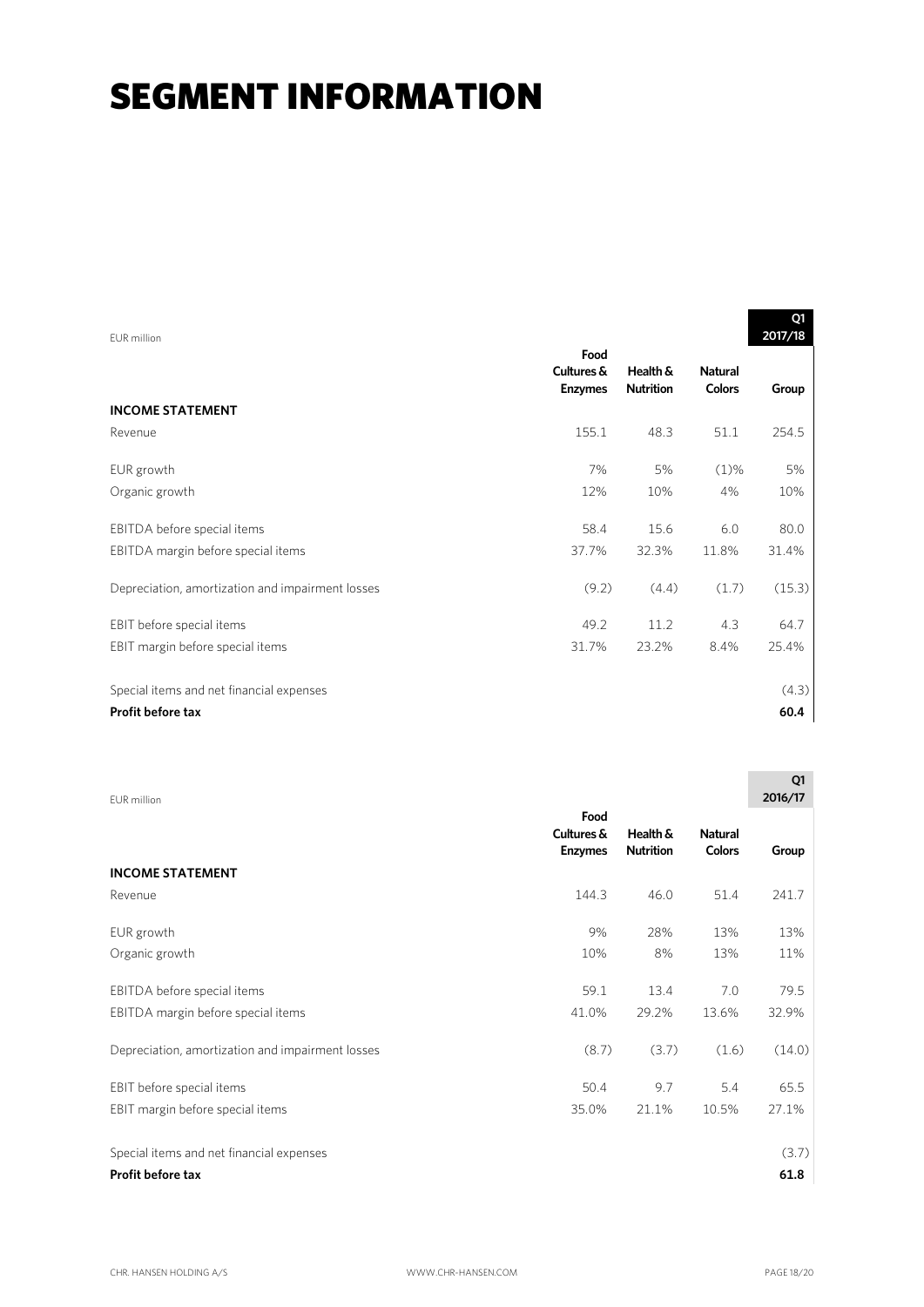## **SEGMENT INFORMATION**

| FUR million                                      |                                      |                              |                                 | Q1<br>2017/18 |
|--------------------------------------------------|--------------------------------------|------------------------------|---------------------------------|---------------|
|                                                  | Food<br>Cultures &<br><b>Enzymes</b> | Health &<br><b>Nutrition</b> | <b>Natural</b><br><b>Colors</b> | Group         |
| <b>INCOME STATEMENT</b>                          |                                      |                              |                                 |               |
| Revenue                                          | 155.1                                | 48.3                         | 51.1                            | 254.5         |
| EUR growth                                       | 7%                                   | 5%                           | $(1)\%$                         | 5%            |
| Organic growth                                   | 12%                                  | 10%                          | 4%                              | 10%           |
| EBITDA before special items                      | 58.4                                 | 15.6                         | 6.0                             | 80.0          |
| EBITDA margin before special items               | 37.7%                                | 32.3%                        | 11.8%                           | 31.4%         |
| Depreciation, amortization and impairment losses | (9.2)                                | (4.4)                        | (1.7)                           | (15.3)        |
| EBIT before special items                        | 49.2                                 | 11.2                         | 4.3                             | 64.7          |
| EBIT margin before special items                 | 31.7%                                | 23.2%                        | 8.4%                            | 25.4%         |
| Special items and net financial expenses         |                                      |                              |                                 | (4.3)         |
| <b>Profit before tax</b>                         |                                      |                              |                                 | 60.4          |

|                                      |                              |                                 | ~<br>2016/17  |
|--------------------------------------|------------------------------|---------------------------------|---------------|
| Food<br>Cultures &<br><b>Enzymes</b> | Health &<br><b>Nutrition</b> | <b>Natural</b><br><b>Colors</b> | Group         |
|                                      |                              |                                 |               |
| 144.3                                | 46.0                         | 51.4                            | 241.7         |
| 9%                                   | 28%                          | 13%                             | 13%           |
| 10%                                  | 8%                           | 13%                             | 11%           |
| 59.1                                 | 13.4                         | 7.0                             | 79.5          |
| 41.0%                                | 29.2%                        | 13.6%                           | 32.9%         |
| (8.7)                                | (3.7)                        | (1.6)                           | (14.0)        |
| 50.4                                 | 9.7                          | 5.4                             | 65.5          |
| 35.0%                                | 21.1%                        | 10.5%                           | 27.1%         |
|                                      |                              |                                 | (3.7)<br>61.8 |
|                                      |                              |                                 |               |

 $\overline{\phantom{a}}$   $\overline{\phantom{a}}$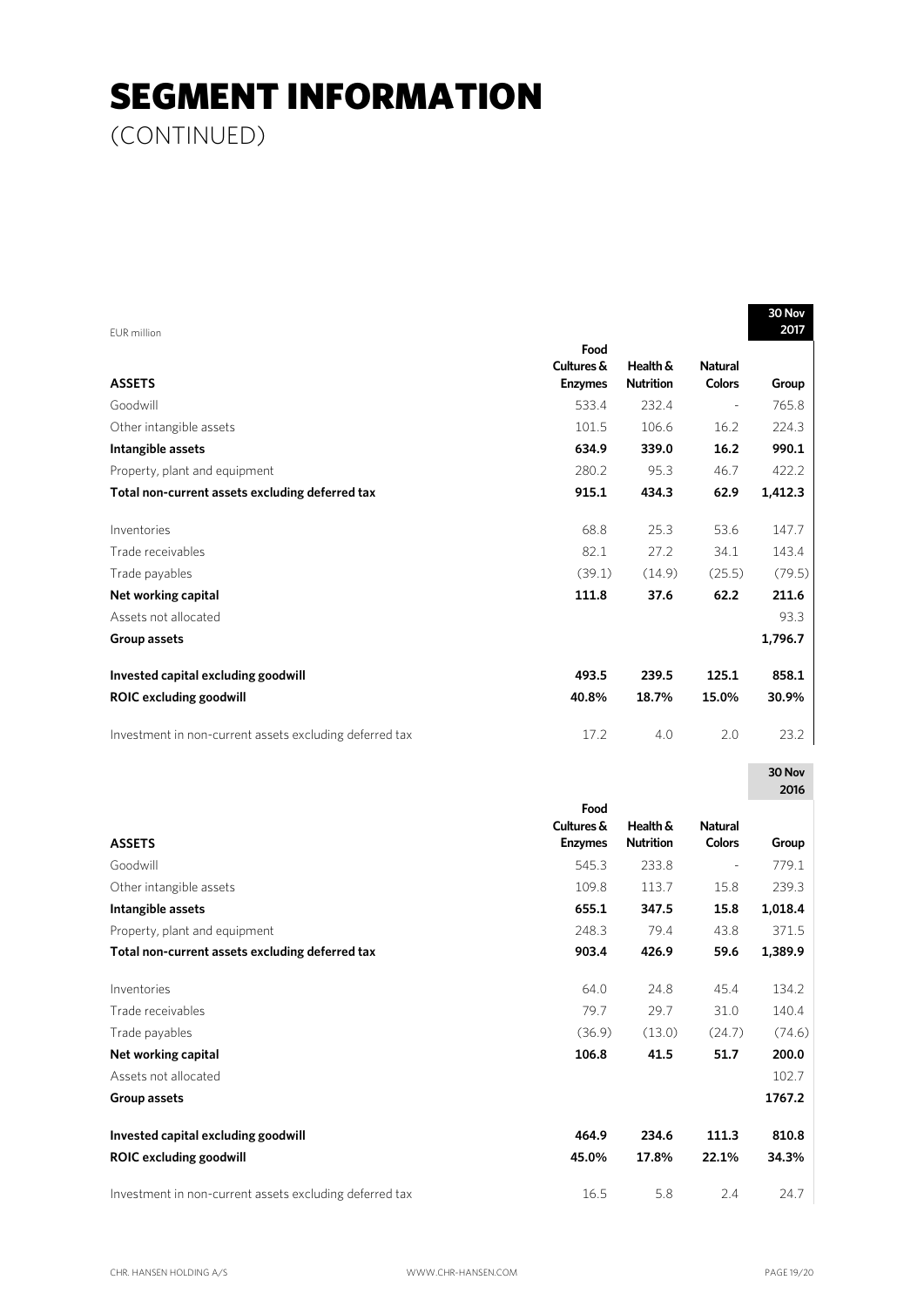## SEGMENT INFORMATION

(CONTINUED)

|                                                         |                |                  |                          | 30 Nov<br>2017 |
|---------------------------------------------------------|----------------|------------------|--------------------------|----------------|
| EUR million                                             | Food           |                  |                          |                |
|                                                         | Cultures &     | Health &         | <b>Natural</b>           |                |
| <b>ASSETS</b>                                           | <b>Enzymes</b> | <b>Nutrition</b> | <b>Colors</b>            | Group          |
| Goodwill                                                | 533.4          | 232.4            | $\overline{\phantom{a}}$ | 765.8          |
| Other intangible assets                                 | 101.5          | 106.6            | 16.2                     | 224.3          |
| Intangible assets                                       | 634.9          | 339.0            | 16.2                     | 990.1          |
| Property, plant and equipment                           | 280.2          | 95.3             | 46.7                     | 422.2          |
| Total non-current assets excluding deferred tax         | 915.1          | 434.3            | 62.9                     | 1,412.3        |
| Inventories                                             | 68.8           | 25.3             | 53.6                     | 147.7          |
| Trade receivables                                       | 82.1           | 27.2             | 34.1                     | 143.4          |
| Trade payables                                          | (39.1)         | (14.9)           | (25.5)                   | (79.5)         |
| Net working capital                                     | 111.8          | 37.6             | 62.2                     | 211.6          |
| Assets not allocated                                    |                |                  |                          | 93.3           |
| Group assets                                            |                |                  |                          | 1,796.7        |
| Invested capital excluding goodwill                     | 493.5          | 239.5            | 125.1                    | 858.1          |
| <b>ROIC excluding goodwill</b>                          | 40.8%          | 18.7%            | 15.0%                    | 30.9%          |
| Investment in non-current assets excluding deferred tax | 17.2           | 4.0              | 2.0                      | 23.2           |
|                                                         |                |                  |                          |                |
|                                                         |                |                  |                          | 30 Nov         |
|                                                         | Food           |                  |                          | 2016           |
|                                                         | Cultures &     | Health &         | <b>Natural</b>           |                |
| <b>ASSETS</b>                                           | <b>Enzymes</b> | <b>Nutrition</b> | Colors                   | Group          |
| Goodwill                                                | 545.3          | 233.8            | $\overline{\phantom{a}}$ | 779.1          |
| Other intangible assets                                 | 109.8          | 113.7            | 15.8                     | 239.3          |
| Intangible assets                                       | 655.1          | 347.5            | 15.8                     | 1,018.4        |
| Property, plant and equipment                           | 248.3          | 79.4             | 43.8                     | 371.5          |
| Total non-current assets excluding deferred tax         | 903.4          | 426.9            | 59.6                     | 1,389.9        |
| Inventories                                             | 64.0           | 24.8             | 45.4                     | 134.2          |
| Trade receivables                                       | 79.7           | 29.7             | 31.0                     | 140.4          |
| Trade payables                                          | (36.9)         | (13.0)           | (24.7)                   | (74.6)         |
| Net working capital                                     | 106.8          | 41.5             | 51.7                     | 200.0          |
| Assets not allocated                                    |                |                  |                          | 102.7          |
| Group assets                                            |                |                  |                          | 1767.2         |
| Invested capital excluding goodwill                     | 464.9          | 234.6            | 111.3                    | 810.8          |
| <b>ROIC excluding goodwill</b>                          | 45.0%          | 17.8%            | 22.1%                    | 34.3%          |